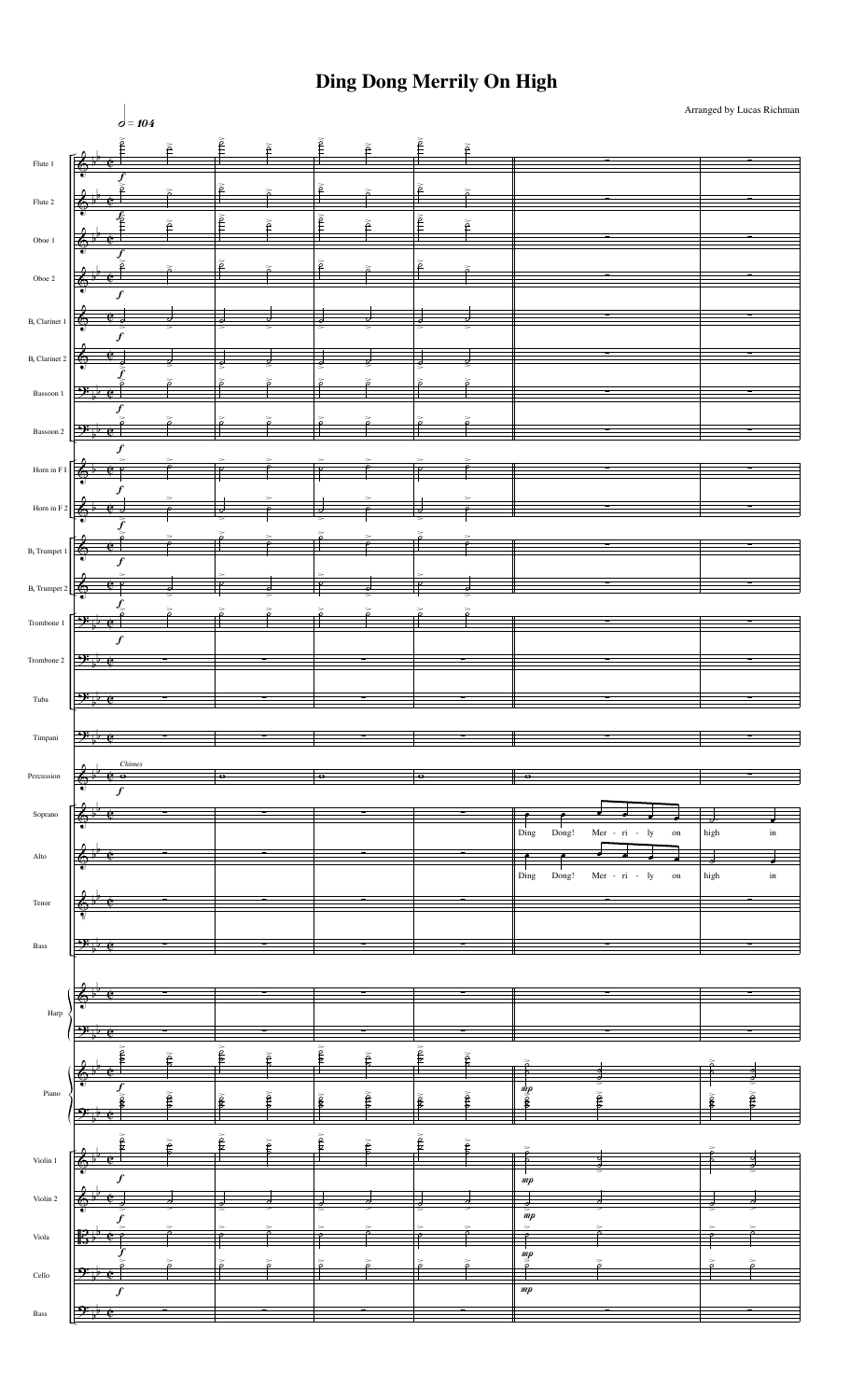## **Ding Dong Merrily On High**

Arranged by Lucas Richman  $\int$  = 104 。<br>P ˙> ˙> ∶<br>P 。<br>P ∶<br>P 。<br>₽ 。<br>₽ b  $\overline{e}$  $\overline{6}$ b CCCCCCCCCCCCCCCCCCCCCCCCCCCCCC ∑∑∑∑∑∑∑∑∑∑∑∑∑∑∑∑ ∑∑∑∑∑∑∑∑∑∑∑∑∑∑∑∑∑ Flute 1 &&&&&&??&&&&????&&&V?&?&?&&B??  $f$  , a  $f$  , a  $f$  , a  $f$  , a  $f$  , a  $f$  , a  $f$  , a  $f$  , a  $f$  , a  $f$  , a  $f$  , a  $f$  , a  $f$  , a  $f$  , a  $f$  , a  $f$  , a  $f$  , a  $f$  , a  $f$  , a  $f$  , a  $f$  , a  $f$  , a  $f$  , a  $f$  , a  $f$  , a  $f$  , a  $f$  , a  $f$  , t<br>—<br>— ˙> ˙> 。<br>P 。<br>P ∶<br>P 。<br>P 。<br>₽ b b Flute 2 ∛  $\overline{6}$ ˙> ˙> ∶<br>P 。<br>P ∶<br>P 。<br>₽ ˙> b Oboe 1 b  $\bullet$ ′<br>P ˙> ˙> 。<br>P 。<br>P ∶<br>P 。<br>P 。<br>₽ b b Oboe 2 € 6  $\frac{1}{2}$  $\frac{1}{2}$  $\frac{1}{2}$  $\frac{1}{2}$ ˙> ˙> ˙> ˙> B b Clarinet 1  $\overline{\mathbf{e}}$ 16  $\frac{1}{2}$ ˙>  $\frac{1}{2}$  $\frac{1}{2}$ ˙>  $\frac{1}{2}$ ˙> B b Clarinet 2 ˙> ۔<br>آ 。<br>P ˙> 。<br>P 。<br>P ˙>  $\Theta$ b  $\cdot$ Bas b ر<br>أي في ط<sub>و</sub> ˙> ˙> 。<br>P ˙> 。<br>P 。<br>P ˙> Bassoon 2  $f \rightarrow$ 。<br>P **−**<br>P ˙> **−**<br>P ;<br>P ˙> 。<br>P  $\blacklozenge$  $\frac{1}{2}$  bbbb bbbb bbbb bbbb bbbb bbb Horn in F I  $\boldsymbol{f}$  $\frac{1}{\rho}$  $\frac{1}{\sqrt{2}}$  $\frac{1}{\rho}$  $\frac{1}{\rho}$  $\overline{P}$ Ѩ  $\frac{1}{2}$  $\frac{1}{2}$  $\frac{1}{\sqrt{2}}$ H<sub>c</sub>  $\int_{\tilde{\mathbf{e}}}$ ۔<br>آ ˙> 。<br>P 。<br>₽ ∶<br>P ;<br>P 。<br>₽  $\blacklozenge$ B b Trumpet 1  $\boldsymbol{f}$ ∶<br>P ∶<br>P  $\frac{1}{\rho}$ 6  $e_{\perp}$  $\frac{1}{2}$  $\frac{1}{2}$  $\frac{1}{2}$  $\frac{1}{2}$ B b Trumpet 2 بر<br>أ∌ ∈ ˙>۔<br>آ 。<br>P ˙> 。<br>P 。<br>P ۔<br>P  $\overline{\text{Tr}}$  $\overline{f}$  $\frac{1}{2}$ ∑∑∑ ∑∑∑ ∑∑∑ ∑∑∑ Tro  $\frac{1}{2}$ Tub  $\frac{1}{2}$ Tin *Chimes* b b w w w w We⊨  $\Phi$ Perc €  $f$  and the set of  $f$  and  $f$  and  $f$  and  $f$  and  $f$  and  $f$  and  $f$  and  $f$  and  $f$  and  $f$  and  $f$  and  $f$  and  $f$  and  $f$  and  $f$  and  $f$  and  $f$  and  $f$  and  $f$  and  $f$  and  $f$  and  $f$  and  $f$  and  $f$  and  $f$  and  $f$  $\frac{1}{2}$ œ ∑∑∑∑∑∑ ∑∑∑∑∑∑ ∑∑∑∑∑∑ ∑∑∑∑∑∑ œ Ding Dong! Mer œ So œ œ  $\frac{1}{2}$  $\begin{array}{c}\n\bullet \\
\bullet \\
\text{in}\n\end{array}$ .  $\,$  ri  $\,$ - ly on high b œ œ œ  $\ddot{\bullet}$ b  $\overline{\phantom{a}}$ . œ Alto て œ œ Ding Dong! Mer - ri -  $\mathbf{1}$ y high in b  $\delta$ b ∑∑∑∑ ∑∑∑∑ Tenor b  $\mathbf{\Theta}^{\mathbf{H}}$ Bass b b € Harp ዓ: b b ˙˙> ˙˙> i<br>T¤P≚  $\frac{1}{2}$ ˙˙>  $\frac{1}{2}$  $\frac{1}{2}$ ˙˙> ˙˙> ˙˙> ˙˙˙> ˙˙˙> b  $\frac{1}{2}$ b ֺ<u>ׇ֖֖֖֖֚֚֔֞</u> my separation and a strong strong my separation and the strong strong strong strong strong strong management and ˙˙˙> 。<br>00<br>20<br>20 **∶**<br>8  $\frac{2}{5}$  $\frac{2}{5}$  $\frac{1}{2}$ Piano i<br>€ 。<br>【 ˙˙˙> tto ⊯ b b  $\frac{1}{2}$  $\frac{1}{2}$  $\frac{1}{2}$  $\frac{1}{2}$  $\frac{1}{2}$  $\frac{1}{2}$  $\frac{1}{2}$  $\frac{1}{2}$  $\begin{array}{c} \circ \\ \circ \\ \circ \\ \circ \end{array}$ b  $\frac{1}{2}$ b Violin 1 ౹⋨ ا<br>ّأ∘  $\boldsymbol{f}$  $mp$ b Violin 2  $\overline{6}$ b  $\overline{\mathfrak{e}_g}$ <u>⇒</u><br>mp  $\equiv$ ˙>  $\frac{1}{2}$ ˙>  $\frac{1}{2}$  $\frac{1}{2}$   $\frac{1}{2}$  $\overline{z}$  $\frac{1}{2}$ ˙> ∶<br>P ∶<br>P ∶<br>P ∶<br>P ∶<br>P ∶<br>P ∶<br>P ∶<br>P ˙> ˙> b Viola  $\mathbb{B}^+$  $e_{f}$  $\int$ ˙> 。<br>P 。<br>P 。<br>P 。<br>P 。<br>P 。<br>P ;<br>P 。<br>P  $\frac{1}{\rho}$   $\frac{1}{\rho}$  $\Theta$ : b  $\epsilon$   $\overline{\phantom{a}}$ Cello b  $\boldsymbol{f}$  $\frac{1}{2}$ ∑ ∑ ∑ ∑ ∑ ∑ Bass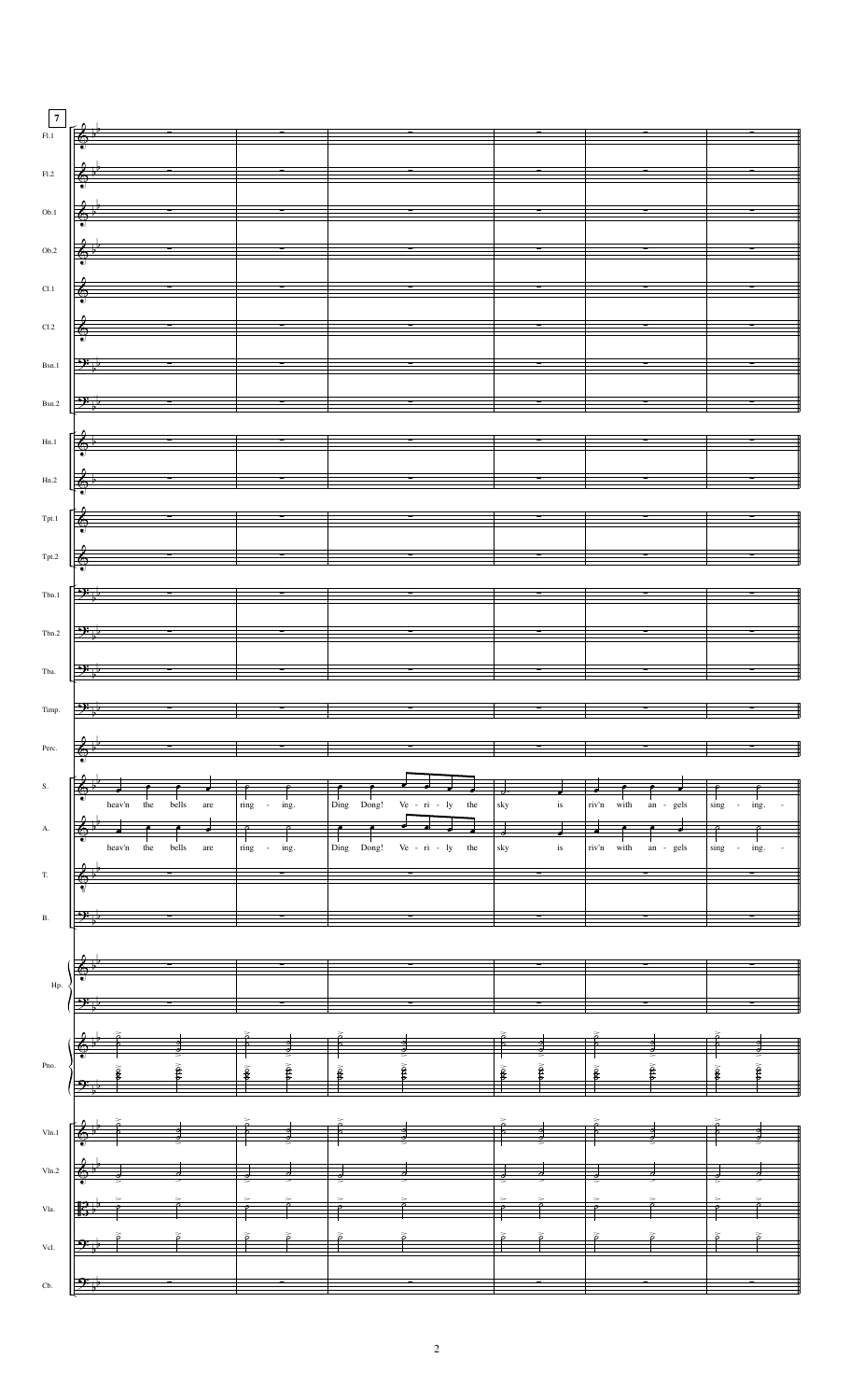| $\boxed{\phantom{2}7}$<br>Fl.1 |                                                                                                                                                                                                                                                                                                                                                                                                                           |                                                                                        |                                                                                                                                                                                                                                                                                               |                                     |                                              |                                                |
|--------------------------------|---------------------------------------------------------------------------------------------------------------------------------------------------------------------------------------------------------------------------------------------------------------------------------------------------------------------------------------------------------------------------------------------------------------------------|----------------------------------------------------------------------------------------|-----------------------------------------------------------------------------------------------------------------------------------------------------------------------------------------------------------------------------------------------------------------------------------------------|-------------------------------------|----------------------------------------------|------------------------------------------------|
|                                |                                                                                                                                                                                                                                                                                                                                                                                                                           |                                                                                        |                                                                                                                                                                                                                                                                                               |                                     |                                              |                                                |
| FL2                            |                                                                                                                                                                                                                                                                                                                                                                                                                           | Ξ                                                                                      |                                                                                                                                                                                                                                                                                               |                                     |                                              |                                                |
| Ob.1                           |                                                                                                                                                                                                                                                                                                                                                                                                                           |                                                                                        |                                                                                                                                                                                                                                                                                               |                                     |                                              |                                                |
|                                |                                                                                                                                                                                                                                                                                                                                                                                                                           |                                                                                        |                                                                                                                                                                                                                                                                                               |                                     |                                              |                                                |
| Ob.2                           |                                                                                                                                                                                                                                                                                                                                                                                                                           |                                                                                        |                                                                                                                                                                                                                                                                                               |                                     |                                              |                                                |
| Cl.1                           |                                                                                                                                                                                                                                                                                                                                                                                                                           | Ξ                                                                                      | <u>and the state</u><br>Ξ                                                                                                                                                                                                                                                                     |                                     |                                              |                                                |
|                                |                                                                                                                                                                                                                                                                                                                                                                                                                           |                                                                                        |                                                                                                                                                                                                                                                                                               |                                     |                                              |                                                |
| Cl.2                           | 16                                                                                                                                                                                                                                                                                                                                                                                                                        |                                                                                        | $\frac{1}{2}$ and $\frac{1}{2}$ and $\frac{1}{2}$ and $\frac{1}{2}$ and $\frac{1}{2}$ and $\frac{1}{2}$ and $\frac{1}{2}$ and $\frac{1}{2}$ and $\frac{1}{2}$ and $\frac{1}{2}$ and $\frac{1}{2}$ and $\frac{1}{2}$ and $\frac{1}{2}$ and $\frac{1}{2}$ and $\frac{1}{2}$ and $\frac{1}{2}$ a |                                     |                                              |                                                |
| $_{\rm Bsn.l}$                 | $\mathbf{P}$                                                                                                                                                                                                                                                                                                                                                                                                              |                                                                                        | Ξ                                                                                                                                                                                                                                                                                             |                                     |                                              |                                                |
| $_{\rm Bsn.2}$                 |                                                                                                                                                                                                                                                                                                                                                                                                                           |                                                                                        |                                                                                                                                                                                                                                                                                               |                                     |                                              |                                                |
|                                |                                                                                                                                                                                                                                                                                                                                                                                                                           |                                                                                        |                                                                                                                                                                                                                                                                                               |                                     |                                              |                                                |
| Hn.1                           | $\frac{\frac{1}{1-\frac{1}{1-\frac{1}{1-\frac{1}{1-\frac{1}{1-\frac{1}{1-\frac{1}{1-\frac{1}{1-\frac{1}{1-\frac{1}{1-\frac{1}{1-\frac{1}{1-\frac{1}{1-\frac{1}{1-\frac{1}{1-\frac{1}{1-\frac{1}{1-\frac{1}{1-\frac{1}{1-\frac{1}{1-\frac{1}{1-\frac{1}{1-\frac{1}{1-\frac{1}{1-\frac{1}{1-\frac{1}{1-\frac{1}{1-\frac{1}{1-\frac{1}{1-\frac{1}{1-\frac{1}{1-\frac{1}{1-\frac{1}{1-\frac{1}{1-\frac{1}{1-\frac{1}{1-\frac$ |                                                                                        |                                                                                                                                                                                                                                                                                               |                                     |                                              |                                                |
| Hn.2                           | $\blacksquare$                                                                                                                                                                                                                                                                                                                                                                                                            |                                                                                        | $\frac{1}{2}$ . The set of $\frac{1}{2}$<br>$\overline{\phantom{a}}$                                                                                                                                                                                                                          |                                     |                                              |                                                |
| $_{\rm Tpt.1}$                 |                                                                                                                                                                                                                                                                                                                                                                                                                           |                                                                                        |                                                                                                                                                                                                                                                                                               |                                     |                                              |                                                |
|                                |                                                                                                                                                                                                                                                                                                                                                                                                                           |                                                                                        |                                                                                                                                                                                                                                                                                               |                                     |                                              |                                                |
| Tpt.2                          |                                                                                                                                                                                                                                                                                                                                                                                                                           |                                                                                        |                                                                                                                                                                                                                                                                                               |                                     |                                              |                                                |
| $_{\rm Tbn.1}$                 |                                                                                                                                                                                                                                                                                                                                                                                                                           |                                                                                        |                                                                                                                                                                                                                                                                                               |                                     |                                              |                                                |
| Tbn.2                          | $\mathbf{9}$                                                                                                                                                                                                                                                                                                                                                                                                              |                                                                                        |                                                                                                                                                                                                                                                                                               |                                     |                                              |                                                |
|                                |                                                                                                                                                                                                                                                                                                                                                                                                                           |                                                                                        |                                                                                                                                                                                                                                                                                               |                                     |                                              |                                                |
| Tba.                           |                                                                                                                                                                                                                                                                                                                                                                                                                           |                                                                                        |                                                                                                                                                                                                                                                                                               |                                     |                                              |                                                |
| Timp.                          | $\mathbf{P}$                                                                                                                                                                                                                                                                                                                                                                                                              |                                                                                        |                                                                                                                                                                                                                                                                                               |                                     |                                              |                                                |
| $\mbox{Perc.}$                 | $\frac{1}{\sqrt{2}}$                                                                                                                                                                                                                                                                                                                                                                                                      |                                                                                        |                                                                                                                                                                                                                                                                                               |                                     |                                              |                                                |
| $S$ .                          |                                                                                                                                                                                                                                                                                                                                                                                                                           |                                                                                        |                                                                                                                                                                                                                                                                                               |                                     |                                              |                                                |
|                                | heav'n the bells are                                                                                                                                                                                                                                                                                                                                                                                                      | $\begin{array}{c cc}\n\rho & \rho \\ \hline\n\text{ring} & - \text{ing.}\n\end{array}$ | Ding Dong! Ve - ri - ly the                                                                                                                                                                                                                                                                   | $\rm sky$<br>$_{\rm is}$            | $riv'n$ with $an - gels$                     | $\sin g$ -<br>$\frac{1}{\text{ing}}$ .         |
| $\mathbf{A}$ .                 | heav'n the bells are                                                                                                                                                                                                                                                                                                                                                                                                      | $\begin{array}{c c}\n\circ & \circ \\ \hline\n\end{array}$ ring - ing.                 | Ding Dong! Ve - ri - ly the                                                                                                                                                                                                                                                                   |                                     |                                              |                                                |
|                                | $\equiv$ $\equiv$                                                                                                                                                                                                                                                                                                                                                                                                         |                                                                                        |                                                                                                                                                                                                                                                                                               | $\rm sky$<br>$\mathrm{i}\mathrm{s}$ | riv'n with<br>an - gels                      | sing<br>$\cdot$ ing.                           |
| T.                             |                                                                                                                                                                                                                                                                                                                                                                                                                           |                                                                                        |                                                                                                                                                                                                                                                                                               |                                     |                                              |                                                |
| $\bar{\mathbf{B}}$ .           |                                                                                                                                                                                                                                                                                                                                                                                                                           |                                                                                        |                                                                                                                                                                                                                                                                                               |                                     |                                              |                                                |
|                                |                                                                                                                                                                                                                                                                                                                                                                                                                           |                                                                                        |                                                                                                                                                                                                                                                                                               |                                     |                                              |                                                |
| Hp.                            |                                                                                                                                                                                                                                                                                                                                                                                                                           |                                                                                        |                                                                                                                                                                                                                                                                                               |                                     |                                              |                                                |
|                                |                                                                                                                                                                                                                                                                                                                                                                                                                           |                                                                                        |                                                                                                                                                                                                                                                                                               |                                     |                                              |                                                |
|                                |                                                                                                                                                                                                                                                                                                                                                                                                                           |                                                                                        |                                                                                                                                                                                                                                                                                               |                                     |                                              |                                                |
| Pno.                           | $\frac{1}{\sqrt{2}}$                                                                                                                                                                                                                                                                                                                                                                                                      |                                                                                        |                                                                                                                                                                                                                                                                                               | <b>DIAN YAAR</b>                    | <b>RHAN X BAR</b><br>$\frac{1}{\frac{2}{5}}$ | <b>SHAP</b><br>PARK<br>$\frac{1}{\frac{2}{5}}$ |
|                                | <del>⊲ تر</del> ا                                                                                                                                                                                                                                                                                                                                                                                                         |                                                                                        |                                                                                                                                                                                                                                                                                               |                                     |                                              |                                                |
| Vln.1                          | $\begin{array}{c c}\n\bullet & \bullet \\ \bullet & \bullet \\ \hline\n\end{array}$<br>$\frac{2}{\sqrt{2}}$                                                                                                                                                                                                                                                                                                               | 丰<br>$\frac{9}{2}$                                                                     | $\frac{1}{2}$<br>푳                                                                                                                                                                                                                                                                            | $\mathbb{F}_{p}^{\circ}$            |                                              | $\mathbb{P}^2$                                 |
|                                |                                                                                                                                                                                                                                                                                                                                                                                                                           |                                                                                        |                                                                                                                                                                                                                                                                                               |                                     |                                              |                                                |
| $_{\rm Vln.2}$                 | $\frac{1}{2}$<br>$\overline{\phantom{a}}$                                                                                                                                                                                                                                                                                                                                                                                 | $\overline{\phantom{a}}$<br>$\overline{\phantom{a}}$                                   | $\frac{1}{2}$                                                                                                                                                                                                                                                                                 |                                     |                                              |                                                |
| $_{\rm Vla.}$                  |                                                                                                                                                                                                                                                                                                                                                                                                                           |                                                                                        |                                                                                                                                                                                                                                                                                               | $\overline{\phantom{0}}$            |                                              |                                                |
| Vcl.                           |                                                                                                                                                                                                                                                                                                                                                                                                                           |                                                                                        |                                                                                                                                                                                                                                                                                               |                                     |                                              |                                                |
|                                |                                                                                                                                                                                                                                                                                                                                                                                                                           |                                                                                        |                                                                                                                                                                                                                                                                                               |                                     |                                              |                                                |
| Cb.                            | $\mathcal{P}$                                                                                                                                                                                                                                                                                                                                                                                                             |                                                                                        |                                                                                                                                                                                                                                                                                               |                                     |                                              |                                                |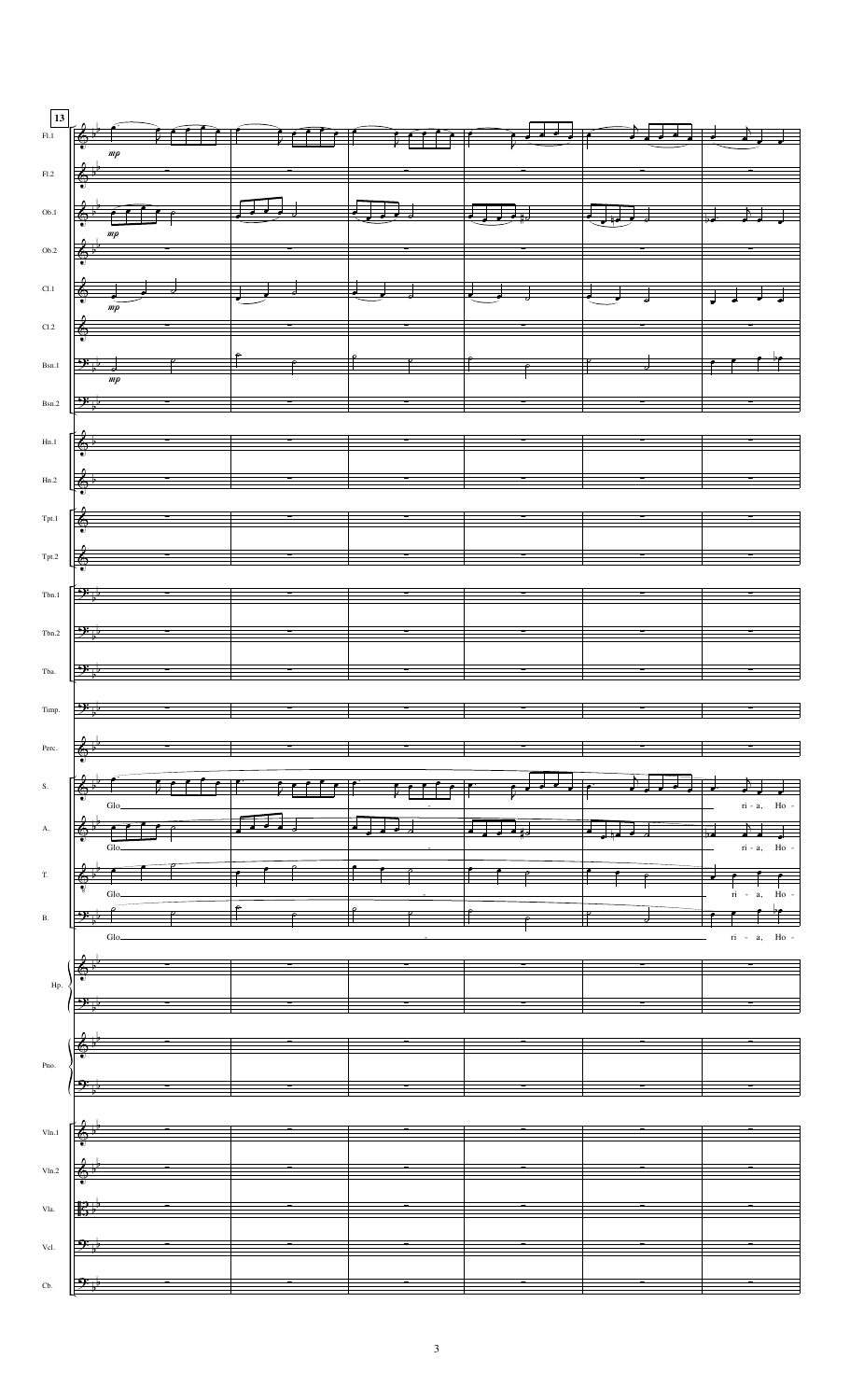|                        | F1.1                                                                                                                                                                                                                                                                                                                                                                                                                                                                                                                                                               |                          |                                                                         |   |                          |                               |                         |
|------------------------|--------------------------------------------------------------------------------------------------------------------------------------------------------------------------------------------------------------------------------------------------------------------------------------------------------------------------------------------------------------------------------------------------------------------------------------------------------------------------------------------------------------------------------------------------------------------|--------------------------|-------------------------------------------------------------------------|---|--------------------------|-------------------------------|-------------------------|
|                        | $\it{mp}$                                                                                                                                                                                                                                                                                                                                                                                                                                                                                                                                                          |                          |                                                                         |   |                          |                               |                         |
| $\rm{F}l.2$            |                                                                                                                                                                                                                                                                                                                                                                                                                                                                                                                                                                    |                          |                                                                         |   |                          |                               |                         |
| $_{\rm Ob.1}$          | 會                                                                                                                                                                                                                                                                                                                                                                                                                                                                                                                                                                  |                          | $\overline{D}$ ( $\overline{D}$ ) ( $\overline{D}$ ) ( $\overline{D}$ ) |   | $\overline{\phantom{a}}$ |                               | $\overline{\mathbf{b}}$ |
|                        | mр                                                                                                                                                                                                                                                                                                                                                                                                                                                                                                                                                                 |                          |                                                                         |   |                          |                               |                         |
| $_{\rm Ob.2}$          | $\overline{\phantom{a}}$                                                                                                                                                                                                                                                                                                                                                                                                                                                                                                                                           |                          | $\frac{1}{\sqrt{2}}$                                                    |   |                          |                               |                         |
|                        |                                                                                                                                                                                                                                                                                                                                                                                                                                                                                                                                                                    |                          |                                                                         |   |                          |                               |                         |
| $\rm Cl.1$             | 嚎<br>$\Rightarrow$                                                                                                                                                                                                                                                                                                                                                                                                                                                                                                                                                 | $\overline{\phantom{a}}$ |                                                                         |   |                          | $\pm$<br>$\frac{1}{\sqrt{2}}$ | ╅                       |
| $\rm Cl.2$             | $\it{mp}$<br>重                                                                                                                                                                                                                                                                                                                                                                                                                                                                                                                                                     |                          |                                                                         |   |                          |                               |                         |
|                        |                                                                                                                                                                                                                                                                                                                                                                                                                                                                                                                                                                    |                          |                                                                         |   |                          |                               |                         |
| $_{\rm Bsn.1}$         | $\mathcal{P}$                                                                                                                                                                                                                                                                                                                                                                                                                                                                                                                                                      |                          |                                                                         | ╩ | $\overline{\mathcal{P}}$ |                               |                         |
|                        | mp                                                                                                                                                                                                                                                                                                                                                                                                                                                                                                                                                                 |                          |                                                                         |   |                          |                               |                         |
| $_{\rm Bsn.2}$         | $\mathbb{P}^*$                                                                                                                                                                                                                                                                                                                                                                                                                                                                                                                                                     |                          |                                                                         |   |                          |                               |                         |
|                        | $\left  \begin{array}{c} \left  \right. \right. \left  \right. \right. \left  \left. \right. \right. \left  \right. \left. \right. \left  \left. \right. \right. \left. \left. \right. \left. \right. \left. \left. \right. \left. \right. \left. \left. \right. \left. \right. \left. \right. \left. \left. \right. \left. \right. \left. \left. \right. \left. \right. \left. \right. \left. \left. \right. \left. \right. \left. \left. \right. \left. \right. \left. \left. \right. \left. \right. \left. \left. \right. \left. \right. \left. \right. \left.$ |                          |                                                                         |   |                          |                               |                         |
| Hn.1                   |                                                                                                                                                                                                                                                                                                                                                                                                                                                                                                                                                                    |                          |                                                                         |   |                          |                               |                         |
| $_{\rm Hn.2}$          |                                                                                                                                                                                                                                                                                                                                                                                                                                                                                                                                                                    | Ξ                        |                                                                         |   |                          |                               |                         |
|                        |                                                                                                                                                                                                                                                                                                                                                                                                                                                                                                                                                                    |                          |                                                                         |   |                          |                               |                         |
| $_{\rm Tpt.1}$         | <b>E</b>                                                                                                                                                                                                                                                                                                                                                                                                                                                                                                                                                           |                          |                                                                         |   |                          |                               |                         |
|                        |                                                                                                                                                                                                                                                                                                                                                                                                                                                                                                                                                                    |                          |                                                                         |   |                          |                               |                         |
| $\operatorname{Tpt.2}$ | $\mathbb{R}$                                                                                                                                                                                                                                                                                                                                                                                                                                                                                                                                                       |                          | Ξ.                                                                      |   |                          |                               |                         |
|                        |                                                                                                                                                                                                                                                                                                                                                                                                                                                                                                                                                                    |                          |                                                                         |   |                          |                               |                         |
| Tbn.1                  |                                                                                                                                                                                                                                                                                                                                                                                                                                                                                                                                                                    |                          |                                                                         |   |                          |                               |                         |
| ${\rm Tbn.2}$          | $\mathbf{P}$                                                                                                                                                                                                                                                                                                                                                                                                                                                                                                                                                       |                          |                                                                         |   |                          |                               |                         |
|                        |                                                                                                                                                                                                                                                                                                                                                                                                                                                                                                                                                                    |                          |                                                                         |   |                          |                               |                         |
| Tba.                   | $\mathbf{P}$                                                                                                                                                                                                                                                                                                                                                                                                                                                                                                                                                       |                          |                                                                         |   |                          |                               |                         |
|                        |                                                                                                                                                                                                                                                                                                                                                                                                                                                                                                                                                                    |                          |                                                                         |   |                          |                               |                         |
| Timp.                  | $\mathbf{P}$                                                                                                                                                                                                                                                                                                                                                                                                                                                                                                                                                       |                          |                                                                         |   |                          |                               |                         |
| Perc.                  |                                                                                                                                                                                                                                                                                                                                                                                                                                                                                                                                                                    |                          |                                                                         |   |                          |                               |                         |
|                        |                                                                                                                                                                                                                                                                                                                                                                                                                                                                                                                                                                    |                          |                                                                         |   |                          |                               |                         |
| ${\bf S}.$             |                                                                                                                                                                                                                                                                                                                                                                                                                                                                                                                                                                    |                          |                                                                         |   |                          |                               |                         |
|                        | Glo.                                                                                                                                                                                                                                                                                                                                                                                                                                                                                                                                                               |                          |                                                                         |   |                          |                               | ri - a,<br>$Ho -$       |
| $A$ .                  |                                                                                                                                                                                                                                                                                                                                                                                                                                                                                                                                                                    |                          |                                                                         |   |                          |                               |                         |
|                        | Glo                                                                                                                                                                                                                                                                                                                                                                                                                                                                                                                                                                |                          |                                                                         |   |                          |                               | ri - a,<br>Ho           |
| T.                     |                                                                                                                                                                                                                                                                                                                                                                                                                                                                                                                                                                    |                          |                                                                         |   |                          |                               |                         |
|                        | Glo                                                                                                                                                                                                                                                                                                                                                                                                                                                                                                                                                                |                          |                                                                         |   |                          |                               |                         |
| $\, {\bf B}$ .         |                                                                                                                                                                                                                                                                                                                                                                                                                                                                                                                                                                    |                          |                                                                         |   |                          |                               |                         |
|                        | Glo.                                                                                                                                                                                                                                                                                                                                                                                                                                                                                                                                                               |                          |                                                                         |   |                          |                               | ri<br>$H_0$ -           |
|                        |                                                                                                                                                                                                                                                                                                                                                                                                                                                                                                                                                                    |                          |                                                                         |   |                          |                               |                         |
| Hp.                    |                                                                                                                                                                                                                                                                                                                                                                                                                                                                                                                                                                    |                          |                                                                         |   |                          |                               |                         |
|                        |                                                                                                                                                                                                                                                                                                                                                                                                                                                                                                                                                                    |                          |                                                                         |   |                          |                               |                         |
|                        |                                                                                                                                                                                                                                                                                                                                                                                                                                                                                                                                                                    |                          |                                                                         |   |                          |                               |                         |
|                        |                                                                                                                                                                                                                                                                                                                                                                                                                                                                                                                                                                    |                          |                                                                         |   |                          |                               |                         |
| Pno.                   |                                                                                                                                                                                                                                                                                                                                                                                                                                                                                                                                                                    |                          |                                                                         |   |                          |                               |                         |
|                        |                                                                                                                                                                                                                                                                                                                                                                                                                                                                                                                                                                    |                          |                                                                         |   |                          |                               |                         |
|                        |                                                                                                                                                                                                                                                                                                                                                                                                                                                                                                                                                                    |                          |                                                                         |   |                          |                               |                         |
| $_{\rm VIn.1}$         |                                                                                                                                                                                                                                                                                                                                                                                                                                                                                                                                                                    |                          |                                                                         |   |                          |                               |                         |
|                        |                                                                                                                                                                                                                                                                                                                                                                                                                                                                                                                                                                    |                          |                                                                         |   |                          |                               |                         |
| Vln.2                  |                                                                                                                                                                                                                                                                                                                                                                                                                                                                                                                                                                    |                          |                                                                         |   |                          |                               |                         |
|                        |                                                                                                                                                                                                                                                                                                                                                                                                                                                                                                                                                                    |                          |                                                                         |   |                          |                               |                         |
| Vla.                   |                                                                                                                                                                                                                                                                                                                                                                                                                                                                                                                                                                    |                          |                                                                         |   |                          |                               |                         |
|                        |                                                                                                                                                                                                                                                                                                                                                                                                                                                                                                                                                                    |                          |                                                                         |   |                          |                               |                         |
| Vcl.                   |                                                                                                                                                                                                                                                                                                                                                                                                                                                                                                                                                                    |                          |                                                                         |   |                          |                               |                         |
|                        |                                                                                                                                                                                                                                                                                                                                                                                                                                                                                                                                                                    |                          |                                                                         |   |                          |                               |                         |
| Cb.                    | $\overline{\mathbf{2}^{\mathbf{t}} \mathbf{1}^{\mathbf{t}}}$                                                                                                                                                                                                                                                                                                                                                                                                                                                                                                       |                          |                                                                         |   |                          |                               |                         |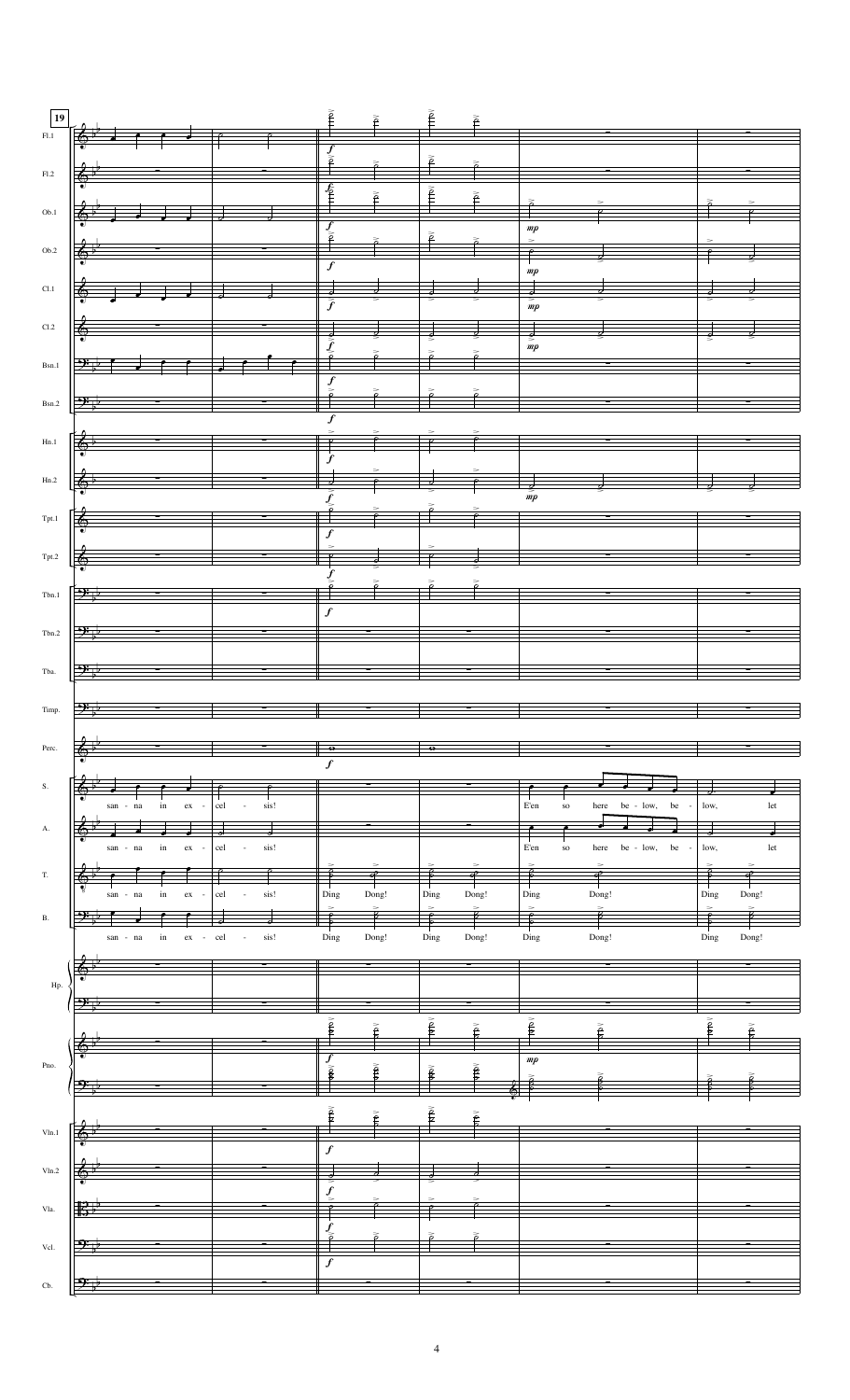| $\boxed{19}$      |                                                                                             | É<br>$\bar{\tilde{P}}$                                   | É<br>é                                                  |                                                                                            |                                |
|-------------------|---------------------------------------------------------------------------------------------|----------------------------------------------------------|---------------------------------------------------------|--------------------------------------------------------------------------------------------|--------------------------------|
| F1.1              | $\left[\begin{smallmatrix} 2 & 1 \\ 0 & 1 \end{smallmatrix}\right]$<br>$\overrightarrow{ }$ |                                                          |                                                         |                                                                                            |                                |
|                   |                                                                                             | $\frac{1}{2}$                                            | $\tilde{\tilde{P}}$                                     |                                                                                            |                                |
| F1.2              | $\overline{\Phi}$                                                                           | $f_{\underline{\mathsf{A}}}$                             | $\sum_{i=1}^{n}$                                        |                                                                                            |                                |
| $_{\rm Ob.1}$     | 嗪                                                                                           | $\check{\tilde{P}}$                                      | $\geq$                                                  |                                                                                            |                                |
|                   |                                                                                             | $\frac{\bar{f}}{4}$                                      |                                                         | $\it{mp}$                                                                                  |                                |
| Ob.2              | $\bullet^{\circ}$                                                                           |                                                          |                                                         |                                                                                            |                                |
|                   |                                                                                             | $\boldsymbol{f}$                                         |                                                         | $\it{mp}$                                                                                  |                                |
| $\rm C1.1$        | 嚎                                                                                           | $\frac{1}{\tilde{f}}$                                    |                                                         | $\it{mp}$                                                                                  |                                |
| Cl.2              | 16                                                                                          |                                                          |                                                         |                                                                                            |                                |
|                   |                                                                                             |                                                          |                                                         | $\sum_{m,p}$                                                                               |                                |
| $_{\rm Bsn.l}$    | $\mathcal{P}$                                                                               |                                                          |                                                         |                                                                                            |                                |
|                   |                                                                                             | $\boldsymbol{f}$                                         |                                                         |                                                                                            |                                |
| $_{\rm Bsn.2}$    | $\mathcal{P}$                                                                               |                                                          |                                                         |                                                                                            |                                |
| $_{\rm Hn.1}$     | 庵                                                                                           | $\overline{\rho}$                                        |                                                         |                                                                                            |                                |
|                   |                                                                                             |                                                          |                                                         |                                                                                            |                                |
| Hn.2              | $\overline{\bullet}$                                                                        |                                                          |                                                         |                                                                                            |                                |
|                   |                                                                                             |                                                          |                                                         | $\stackrel{\sim}{mp}$                                                                      |                                |
| $_\mathrm{Tpt.1}$ |                                                                                             | $\boldsymbol{f}$                                         |                                                         |                                                                                            |                                |
| $_\mathrm{Tpt.2}$ | 唩                                                                                           | $\overline{\rho}$                                        |                                                         |                                                                                            |                                |
|                   |                                                                                             |                                                          |                                                         |                                                                                            |                                |
| $\mathrm{Tbn.1}$  | $\mathbf{P}$                                                                                |                                                          |                                                         |                                                                                            |                                |
|                   |                                                                                             | $\boldsymbol{f}$                                         |                                                         |                                                                                            |                                |
| Tbn.2             | $\mathbf{9}$                                                                                |                                                          |                                                         |                                                                                            |                                |
| Tba.              | $\mathcal{P}$                                                                               |                                                          |                                                         |                                                                                            |                                |
|                   |                                                                                             |                                                          |                                                         |                                                                                            |                                |
| $\mbox{Timp.}$    | $\mathcal{P}$                                                                               |                                                          |                                                         |                                                                                            |                                |
| Perc.             |                                                                                             | $\bullet$                                                | $\bullet$                                               |                                                                                            |                                |
|                   |                                                                                             | $\overline{f}$                                           |                                                         |                                                                                            |                                |
| $\mathbf S.$      |                                                                                             |                                                          |                                                         | ∙<br>∙                                                                                     |                                |
|                   | sis!<br>cel<br>$san - na$<br>in<br>${\rm ex}$<br>$\sim$                                     |                                                          |                                                         | E <sub>en</sub><br>here<br>be - low, be<br>${\bf SO}$<br>$\overline{\phantom{a}}$          | let<br>low,                    |
| $\mathbf{A}.$     |                                                                                             |                                                          |                                                         | ₽                                                                                          |                                |
|                   | $\rm{sis!}$<br>in<br>$ $ cel<br>$san - na$<br>$ex -$<br>$\sim 100$                          | $\Rightarrow$                                            | $\Rightarrow$                                           | E <sub>en</sub><br>${\bf SO}$<br>here<br>be - low, be<br>$\sim$<br>$\geq$<br>$\Rightarrow$ | let<br>low,<br>$\geq$          |
| $\mathbf{T}.$     |                                                                                             | æ                                                        | P                                                       | €<br>Þ                                                                                     | €<br>æ                         |
|                   | sis!<br>$\operatorname{in}$<br>cel<br>$ex -$<br>san - na                                    | Ding<br>Dong!<br>$\geq$                                  | Ding<br>Dong!<br>$\geq$                                 | Ding<br>Dong!                                                                              | Dong!<br>Ding<br>$\geq$        |
| $\, {\bf B} . \,$ | $\mathbf{P}$                                                                                | B<br>$\sqrt{\frac{2}{2}}$<br>Dong!                       | B<br>$\frac{\rho}{\rho}$                                | $\frac{\rho}{\rho}$                                                                        | b<br>$\sqrt{\frac{1}{2}}$      |
|                   | $^{\rm in}$<br>sis!<br>$ex -$<br>cel<br>san - na<br>$\sim$                                  | Ding                                                     | Ding<br>Dong!                                           | Ding<br>Dong!                                                                              | Ding<br>Dong!                  |
|                   | $\mathbb{S}^{\frac{1}{p}}$                                                                  |                                                          |                                                         |                                                                                            |                                |
| $_{\rm{Hp.}}$     | <del>9: J</del>                                                                             |                                                          |                                                         |                                                                                            |                                |
|                   |                                                                                             | M⊅V<br>$\frac{6}{5}$                                     | $\frac{1}{2}$<br>$\frac{6}{5}$                          | $\overline{P}$<br>$\frac{1}{2}$                                                            | $\frac{1}{2}$<br>$\frac{6}{5}$ |
|                   |                                                                                             |                                                          |                                                         |                                                                                            |                                |
| Pno.              |                                                                                             | $\frac{f}{\frac{g}{g}}$<br>$\frac{1}{2}$                 | <b>AAAA</b><br>$\frac{1}{2}$                            | mp                                                                                         |                                |
|                   | $\mathbf{9}$                                                                                |                                                          |                                                         |                                                                                            |                                |
|                   |                                                                                             | $\frac{\tilde{\mathbf{p}}}{\mathbf{p}}$<br>$\frac{2}{5}$ | $\frac{\partial}{\partial \mathbf{z}}$<br>$\frac{6}{5}$ |                                                                                            |                                |
| $_{\rm Vln.1}$    |                                                                                             |                                                          |                                                         |                                                                                            |                                |
|                   |                                                                                             | $\boldsymbol{f}$                                         |                                                         |                                                                                            |                                |
| Vln.2             |                                                                                             | $\frac{d}{f}$                                            |                                                         |                                                                                            |                                |
| Vla.              |                                                                                             | ρ                                                        |                                                         |                                                                                            |                                |
|                   |                                                                                             | $\frac{f}{\tilde{\rho}}$                                 |                                                         |                                                                                            |                                |
| Vcl.              | $2 +$                                                                                       |                                                          |                                                         |                                                                                            |                                |
|                   |                                                                                             | $\boldsymbol{f}$                                         |                                                         |                                                                                            |                                |
| $\mathrm{Cb.}$    | $\mathcal{D}$                                                                               |                                                          |                                                         |                                                                                            |                                |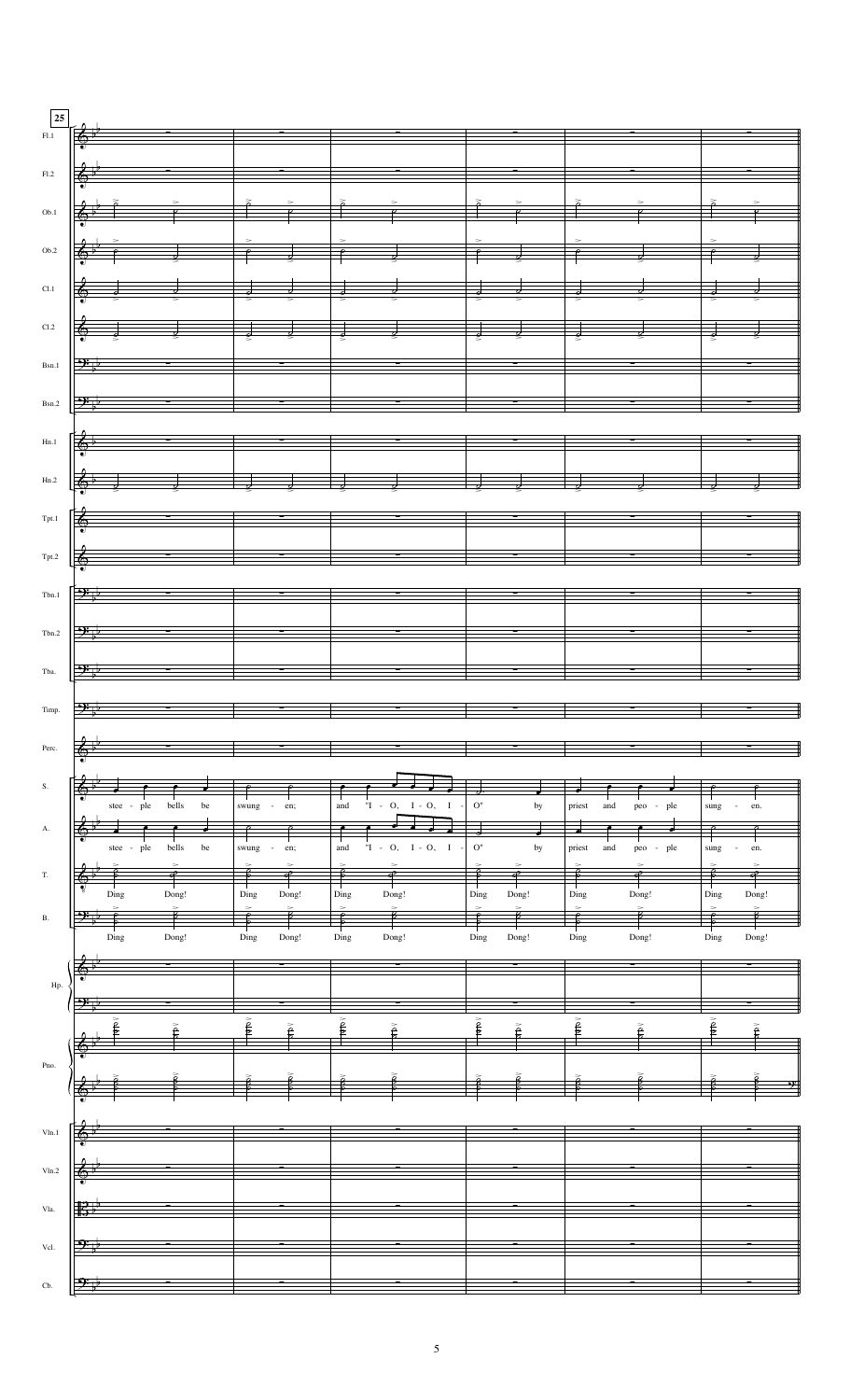| 25                      |               |                            |               |                                                                                                                                                                                                                                      |               |                            |                           |
|-------------------------|---------------|----------------------------|---------------|--------------------------------------------------------------------------------------------------------------------------------------------------------------------------------------------------------------------------------------|---------------|----------------------------|---------------------------|
|                         |               |                            | F1.1          |                                                                                                                                                                                                                                      |               |                            |                           |
|                         |               |                            |               |                                                                                                                                                                                                                                      |               |                            |                           |
|                         |               |                            |               |                                                                                                                                                                                                                                      |               |                            |                           |
| F1.2                    |               |                            |               |                                                                                                                                                                                                                                      |               |                            |                           |
|                         |               |                            |               |                                                                                                                                                                                                                                      |               |                            |                           |
|                         |               |                            |               |                                                                                                                                                                                                                                      |               |                            |                           |
| Ob.1                    |               |                            |               |                                                                                                                                                                                                                                      |               |                            |                           |
|                         |               |                            |               |                                                                                                                                                                                                                                      |               |                            |                           |
|                         |               |                            |               |                                                                                                                                                                                                                                      |               |                            |                           |
|                         |               |                            |               |                                                                                                                                                                                                                                      |               |                            |                           |
|                         |               |                            |               |                                                                                                                                                                                                                                      |               |                            |                           |
| $\mathop{\rm Cl}{.1}$   | $\frac{2}{3}$ |                            |               |                                                                                                                                                                                                                                      |               |                            |                           |
|                         |               |                            |               |                                                                                                                                                                                                                                      |               |                            |                           |
|                         |               |                            |               |                                                                                                                                                                                                                                      |               |                            |                           |
| $\rm Cl.2$              | $\mathbb{R}$  |                            |               |                                                                                                                                                                                                                                      |               |                            |                           |
|                         |               |                            |               |                                                                                                                                                                                                                                      |               |                            |                           |
| $_{\rm Bsn.l}$          | $\mathbb{P}$  |                            |               |                                                                                                                                                                                                                                      |               |                            |                           |
|                         |               |                            |               |                                                                                                                                                                                                                                      |               |                            |                           |
|                         |               |                            |               |                                                                                                                                                                                                                                      |               |                            |                           |
|                         |               |                            |               | $Bsn2$ $\rightarrow$                                                                                                                                                                                                                 |               |                            |                           |
|                         |               |                            |               |                                                                                                                                                                                                                                      |               |                            |                           |
|                         |               |                            |               |                                                                                                                                                                                                                                      |               |                            |                           |
| $_{\rm Hn.1}$           | $\frac{2}{3}$ |                            |               |                                                                                                                                                                                                                                      |               |                            |                           |
|                         |               |                            |               |                                                                                                                                                                                                                                      |               |                            |                           |
| Hn.2                    |               |                            |               | $\frac{1}{2}$ $\frac{1}{2}$ $\frac{1}{2}$ $\frac{1}{2}$ $\frac{1}{2}$ $\frac{1}{2}$ $\frac{1}{2}$ $\frac{1}{2}$                                                                                                                      |               |                            |                           |
|                         |               |                            |               |                                                                                                                                                                                                                                      |               |                            |                           |
|                         |               |                            |               |                                                                                                                                                                                                                                      |               |                            |                           |
| $_{\rm Tpt.1}$          | 险             |                            |               |                                                                                                                                                                                                                                      |               |                            |                           |
|                         |               |                            |               |                                                                                                                                                                                                                                      |               |                            |                           |
|                         |               |                            |               |                                                                                                                                                                                                                                      |               |                            |                           |
| $\frac{1}{2}$           |               |                            |               |                                                                                                                                                                                                                                      |               |                            |                           |
|                         |               |                            |               |                                                                                                                                                                                                                                      |               |                            |                           |
|                         |               |                            |               |                                                                                                                                                                                                                                      |               |                            |                           |
| $\mathrm{Tbn.1}$        |               |                            |               |                                                                                                                                                                                                                                      |               |                            |                           |
|                         |               |                            |               |                                                                                                                                                                                                                                      |               |                            |                           |
| $_{\rm Tbn.2}$          |               |                            |               |                                                                                                                                                                                                                                      |               |                            |                           |
|                         |               |                            |               |                                                                                                                                                                                                                                      |               |                            |                           |
|                         |               |                            |               |                                                                                                                                                                                                                                      |               |                            |                           |
| $_{\rm Tba.}$           | $\mathbf{P}$  |                            |               | $\blacksquare$ . The contract of the contract of the contract of the contract of the contract of the contract of the contract of the contract of the contract of the contract of the contract of the contract of the contract of the |               |                            |                           |
|                         |               |                            |               |                                                                                                                                                                                                                                      |               |                            |                           |
|                         |               |                            |               |                                                                                                                                                                                                                                      |               |                            |                           |
|                         |               |                            |               |                                                                                                                                                                                                                                      |               |                            |                           |
| Timp.                   |               |                            |               |                                                                                                                                                                                                                                      |               |                            |                           |
|                         |               |                            |               |                                                                                                                                                                                                                                      |               |                            |                           |
|                         |               |                            |               |                                                                                                                                                                                                                                      |               |                            |                           |
| Perc.                   |               |                            |               |                                                                                                                                                                                                                                      |               |                            |                           |
|                         |               |                            |               |                                                                                                                                                                                                                                      |               |                            |                           |
| ${\bf S}.$              |               |                            |               |                                                                                                                                                                                                                                      |               |                            |                           |
|                         |               |                            |               |                                                                                                                                                                                                                                      |               |                            |                           |
|                         | stee - $\mu$  | $ $ <sub>bells</sub><br>be | swung<br>en;  | $"I - 0, I - 0, I$<br>and                                                                                                                                                                                                            | $O$ "<br>by   | priest<br>and<br>peo - ple | sung<br>en.               |
| $\mathbf A.$            |               |                            |               |                                                                                                                                                                                                                                      |               |                            |                           |
|                         |               |                            | $\sim$        |                                                                                                                                                                                                                                      | $O$ "         |                            |                           |
|                         | stee - ple    | $be$ lls<br>be             | swung<br>en;  | $T - 0, I - 0, I$<br>and                                                                                                                                                                                                             | by            | peo - ple<br>priest<br>and | sung<br>en.               |
| $\mathbf T.$            |               |                            |               |                                                                                                                                                                                                                                      |               |                            |                           |
|                         |               |                            |               |                                                                                                                                                                                                                                      |               |                            |                           |
|                         | Ding          | Dong!                      | Ding<br>Dong! | Ding<br>Dong!                                                                                                                                                                                                                        | Dong!<br>Ding | Ding<br>Dong!              | Ding<br>Dong!             |
| $\, {\bf B} . \,$       |               |                            |               |                                                                                                                                                                                                                                      |               |                            |                           |
|                         |               |                            |               |                                                                                                                                                                                                                                      |               |                            |                           |
|                         | Ding          | Dong!                      | Ding<br>Dong! | Ding<br>Dong!                                                                                                                                                                                                                        | Ding<br>Dong! | Ding<br>Dong!              | Ding<br>Dong!             |
|                         |               |                            |               |                                                                                                                                                                                                                                      |               |                            |                           |
|                         |               |                            |               |                                                                                                                                                                                                                                      |               |                            |                           |
| Hp.                     |               |                            |               |                                                                                                                                                                                                                                      |               |                            |                           |
|                         |               |                            |               |                                                                                                                                                                                                                                      |               |                            |                           |
|                         |               |                            |               |                                                                                                                                                                                                                                      |               |                            |                           |
|                         |               |                            | $\frac{1}{2}$ |                                                                                                                                                                                                                                      |               |                            | $\frac{8}{10}$<br>।<br>टि |
|                         |               |                            |               |                                                                                                                                                                                                                                      |               |                            |                           |
|                         |               |                            |               |                                                                                                                                                                                                                                      |               |                            |                           |
| Pno.                    |               |                            |               |                                                                                                                                                                                                                                      |               |                            |                           |
|                         |               |                            |               |                                                                                                                                                                                                                                      |               |                            |                           |
|                         |               |                            |               |                                                                                                                                                                                                                                      |               |                            |                           |
|                         |               |                            |               |                                                                                                                                                                                                                                      |               |                            |                           |
|                         |               |                            |               |                                                                                                                                                                                                                                      |               |                            |                           |
|                         |               |                            |               |                                                                                                                                                                                                                                      |               |                            |                           |
|                         |               |                            |               |                                                                                                                                                                                                                                      |               |                            |                           |
|                         |               |                            |               |                                                                                                                                                                                                                                      |               |                            |                           |
|                         |               |                            |               |                                                                                                                                                                                                                                      |               |                            |                           |
|                         |               |                            |               |                                                                                                                                                                                                                                      |               |                            |                           |
| Vla.                    |               |                            |               |                                                                                                                                                                                                                                      |               |                            |                           |
|                         |               |                            |               |                                                                                                                                                                                                                                      |               |                            |                           |
| $_{\rm Vln.1}$<br>Vln.2 |               |                            |               |                                                                                                                                                                                                                                      |               |                            |                           |
| Vcl.                    |               |                            |               |                                                                                                                                                                                                                                      |               |                            |                           |
|                         |               |                            |               |                                                                                                                                                                                                                                      |               |                            |                           |
| Cb.                     | $\mathbf{P}$  |                            |               |                                                                                                                                                                                                                                      |               |                            |                           |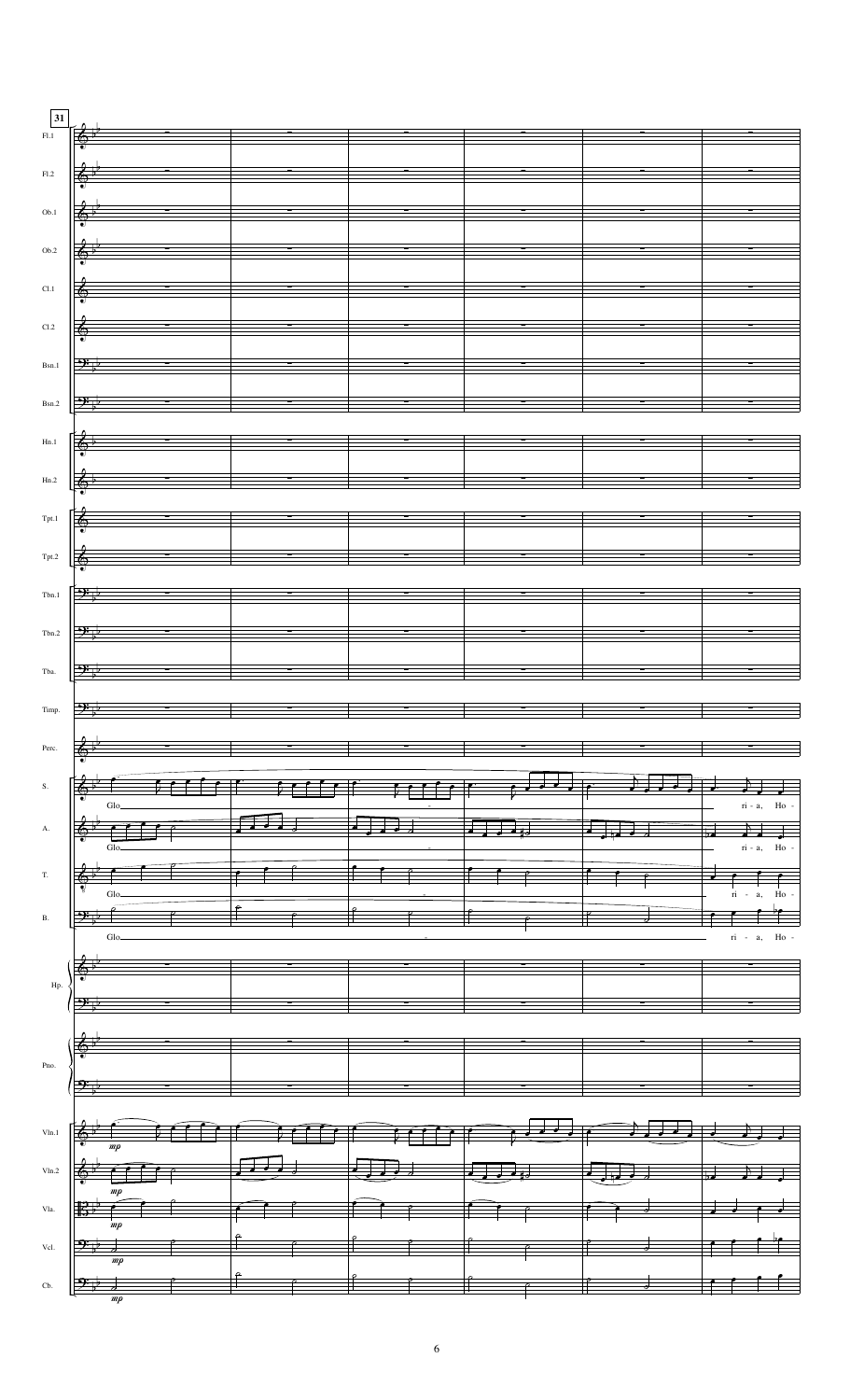| $\frac{31}{F1.1}$              |                                                                                                                                                                                                                                                                                                                                                                        |                                                                     |                                         |                                                                       |                                                                                                                                                                                                                                                                                                                                                                                                                                                             |                                                      |
|--------------------------------|------------------------------------------------------------------------------------------------------------------------------------------------------------------------------------------------------------------------------------------------------------------------------------------------------------------------------------------------------------------------|---------------------------------------------------------------------|-----------------------------------------|-----------------------------------------------------------------------|-------------------------------------------------------------------------------------------------------------------------------------------------------------------------------------------------------------------------------------------------------------------------------------------------------------------------------------------------------------------------------------------------------------------------------------------------------------|------------------------------------------------------|
|                                |                                                                                                                                                                                                                                                                                                                                                                        |                                                                     |                                         |                                                                       |                                                                                                                                                                                                                                                                                                                                                                                                                                                             |                                                      |
|                                |                                                                                                                                                                                                                                                                                                                                                                        |                                                                     |                                         |                                                                       |                                                                                                                                                                                                                                                                                                                                                                                                                                                             |                                                      |
|                                |                                                                                                                                                                                                                                                                                                                                                                        |                                                                     |                                         |                                                                       |                                                                                                                                                                                                                                                                                                                                                                                                                                                             |                                                      |
| FL.2                           |                                                                                                                                                                                                                                                                                                                                                                        |                                                                     |                                         |                                                                       |                                                                                                                                                                                                                                                                                                                                                                                                                                                             |                                                      |
|                                |                                                                                                                                                                                                                                                                                                                                                                        |                                                                     |                                         |                                                                       |                                                                                                                                                                                                                                                                                                                                                                                                                                                             |                                                      |
|                                |                                                                                                                                                                                                                                                                                                                                                                        |                                                                     |                                         |                                                                       |                                                                                                                                                                                                                                                                                                                                                                                                                                                             |                                                      |
| Ob.1                           |                                                                                                                                                                                                                                                                                                                                                                        |                                                                     |                                         |                                                                       |                                                                                                                                                                                                                                                                                                                                                                                                                                                             |                                                      |
|                                |                                                                                                                                                                                                                                                                                                                                                                        |                                                                     |                                         |                                                                       |                                                                                                                                                                                                                                                                                                                                                                                                                                                             |                                                      |
|                                |                                                                                                                                                                                                                                                                                                                                                                        |                                                                     |                                         |                                                                       |                                                                                                                                                                                                                                                                                                                                                                                                                                                             |                                                      |
|                                |                                                                                                                                                                                                                                                                                                                                                                        | $\overline{\phantom{a}}$ . The contract of $\overline{\phantom{a}}$ |                                         |                                                                       |                                                                                                                                                                                                                                                                                                                                                                                                                                                             |                                                      |
| Ob.2                           | $6^{\frac{p}{p}}$                                                                                                                                                                                                                                                                                                                                                      |                                                                     |                                         |                                                                       |                                                                                                                                                                                                                                                                                                                                                                                                                                                             |                                                      |
|                                |                                                                                                                                                                                                                                                                                                                                                                        |                                                                     |                                         |                                                                       |                                                                                                                                                                                                                                                                                                                                                                                                                                                             |                                                      |
|                                |                                                                                                                                                                                                                                                                                                                                                                        |                                                                     |                                         |                                                                       |                                                                                                                                                                                                                                                                                                                                                                                                                                                             |                                                      |
|                                |                                                                                                                                                                                                                                                                                                                                                                        |                                                                     |                                         |                                                                       |                                                                                                                                                                                                                                                                                                                                                                                                                                                             |                                                      |
| $\rm Cl.1$                     | $\mathbb{R}$<br>$\frac{1}{\sqrt{2}}$ , $\frac{1}{\sqrt{2}}$ , $\frac{1}{\sqrt{2}}$ , $\frac{1}{\sqrt{2}}$ , $\frac{1}{\sqrt{2}}$ , $\frac{1}{\sqrt{2}}$ , $\frac{1}{\sqrt{2}}$ , $\frac{1}{\sqrt{2}}$ , $\frac{1}{\sqrt{2}}$ , $\frac{1}{\sqrt{2}}$ , $\frac{1}{\sqrt{2}}$ , $\frac{1}{\sqrt{2}}$ , $\frac{1}{\sqrt{2}}$ , $\frac{1}{\sqrt{2}}$ , $\frac{1}{\sqrt{2}}$ | <u> Tanzania</u>                                                    | $\blacksquare$                          |                                                                       |                                                                                                                                                                                                                                                                                                                                                                                                                                                             |                                                      |
|                                |                                                                                                                                                                                                                                                                                                                                                                        |                                                                     |                                         |                                                                       |                                                                                                                                                                                                                                                                                                                                                                                                                                                             |                                                      |
|                                |                                                                                                                                                                                                                                                                                                                                                                        |                                                                     |                                         |                                                                       |                                                                                                                                                                                                                                                                                                                                                                                                                                                             |                                                      |
|                                |                                                                                                                                                                                                                                                                                                                                                                        |                                                                     |                                         |                                                                       |                                                                                                                                                                                                                                                                                                                                                                                                                                                             |                                                      |
| Cl.2                           | る                                                                                                                                                                                                                                                                                                                                                                      |                                                                     |                                         |                                                                       |                                                                                                                                                                                                                                                                                                                                                                                                                                                             |                                                      |
|                                |                                                                                                                                                                                                                                                                                                                                                                        |                                                                     |                                         |                                                                       |                                                                                                                                                                                                                                                                                                                                                                                                                                                             |                                                      |
|                                |                                                                                                                                                                                                                                                                                                                                                                        |                                                                     |                                         |                                                                       |                                                                                                                                                                                                                                                                                                                                                                                                                                                             |                                                      |
|                                |                                                                                                                                                                                                                                                                                                                                                                        |                                                                     |                                         |                                                                       |                                                                                                                                                                                                                                                                                                                                                                                                                                                             |                                                      |
| $_{\rm Bsn.1}$                 |                                                                                                                                                                                                                                                                                                                                                                        |                                                                     |                                         |                                                                       |                                                                                                                                                                                                                                                                                                                                                                                                                                                             |                                                      |
|                                |                                                                                                                                                                                                                                                                                                                                                                        |                                                                     |                                         |                                                                       |                                                                                                                                                                                                                                                                                                                                                                                                                                                             |                                                      |
|                                |                                                                                                                                                                                                                                                                                                                                                                        |                                                                     |                                         |                                                                       |                                                                                                                                                                                                                                                                                                                                                                                                                                                             |                                                      |
|                                |                                                                                                                                                                                                                                                                                                                                                                        |                                                                     |                                         |                                                                       |                                                                                                                                                                                                                                                                                                                                                                                                                                                             |                                                      |
| $_{\rm Bsn.2}$                 | $\mathbf{P}$                                                                                                                                                                                                                                                                                                                                                           | $\sim$ $\sim$ $\sim$ $\sim$ $\sim$                                  |                                         |                                                                       |                                                                                                                                                                                                                                                                                                                                                                                                                                                             |                                                      |
|                                |                                                                                                                                                                                                                                                                                                                                                                        |                                                                     |                                         |                                                                       |                                                                                                                                                                                                                                                                                                                                                                                                                                                             |                                                      |
|                                |                                                                                                                                                                                                                                                                                                                                                                        |                                                                     |                                         |                                                                       |                                                                                                                                                                                                                                                                                                                                                                                                                                                             |                                                      |
| $_{\rm Hn.1}$                  |                                                                                                                                                                                                                                                                                                                                                                        |                                                                     |                                         |                                                                       |                                                                                                                                                                                                                                                                                                                                                                                                                                                             |                                                      |
|                                | $\frac{1}{\frac{1}{2}}$                                                                                                                                                                                                                                                                                                                                                |                                                                     |                                         |                                                                       |                                                                                                                                                                                                                                                                                                                                                                                                                                                             |                                                      |
|                                |                                                                                                                                                                                                                                                                                                                                                                        |                                                                     |                                         |                                                                       |                                                                                                                                                                                                                                                                                                                                                                                                                                                             |                                                      |
|                                |                                                                                                                                                                                                                                                                                                                                                                        |                                                                     |                                         |                                                                       |                                                                                                                                                                                                                                                                                                                                                                                                                                                             |                                                      |
| Hn.2                           |                                                                                                                                                                                                                                                                                                                                                                        |                                                                     |                                         |                                                                       |                                                                                                                                                                                                                                                                                                                                                                                                                                                             |                                                      |
|                                |                                                                                                                                                                                                                                                                                                                                                                        |                                                                     |                                         |                                                                       |                                                                                                                                                                                                                                                                                                                                                                                                                                                             |                                                      |
|                                |                                                                                                                                                                                                                                                                                                                                                                        |                                                                     |                                         |                                                                       |                                                                                                                                                                                                                                                                                                                                                                                                                                                             |                                                      |
|                                |                                                                                                                                                                                                                                                                                                                                                                        |                                                                     |                                         |                                                                       |                                                                                                                                                                                                                                                                                                                                                                                                                                                             |                                                      |
| $_\mathrm{Tpt.1}$              |                                                                                                                                                                                                                                                                                                                                                                        |                                                                     |                                         |                                                                       |                                                                                                                                                                                                                                                                                                                                                                                                                                                             |                                                      |
|                                | 圈                                                                                                                                                                                                                                                                                                                                                                      |                                                                     |                                         |                                                                       |                                                                                                                                                                                                                                                                                                                                                                                                                                                             |                                                      |
|                                |                                                                                                                                                                                                                                                                                                                                                                        |                                                                     |                                         |                                                                       |                                                                                                                                                                                                                                                                                                                                                                                                                                                             |                                                      |
|                                |                                                                                                                                                                                                                                                                                                                                                                        |                                                                     |                                         |                                                                       |                                                                                                                                                                                                                                                                                                                                                                                                                                                             |                                                      |
| $_{\rm Tpt.2}$                 | $\mathbb{R}$                                                                                                                                                                                                                                                                                                                                                           |                                                                     |                                         |                                                                       |                                                                                                                                                                                                                                                                                                                                                                                                                                                             |                                                      |
|                                |                                                                                                                                                                                                                                                                                                                                                                        |                                                                     |                                         |                                                                       |                                                                                                                                                                                                                                                                                                                                                                                                                                                             |                                                      |
|                                |                                                                                                                                                                                                                                                                                                                                                                        |                                                                     |                                         |                                                                       |                                                                                                                                                                                                                                                                                                                                                                                                                                                             |                                                      |
|                                |                                                                                                                                                                                                                                                                                                                                                                        |                                                                     |                                         |                                                                       |                                                                                                                                                                                                                                                                                                                                                                                                                                                             |                                                      |
| $\mathrm{Tbn.1}$               | $\mathbf{P}$                                                                                                                                                                                                                                                                                                                                                           |                                                                     |                                         |                                                                       |                                                                                                                                                                                                                                                                                                                                                                                                                                                             |                                                      |
|                                |                                                                                                                                                                                                                                                                                                                                                                        |                                                                     |                                         |                                                                       |                                                                                                                                                                                                                                                                                                                                                                                                                                                             |                                                      |
|                                |                                                                                                                                                                                                                                                                                                                                                                        |                                                                     |                                         |                                                                       |                                                                                                                                                                                                                                                                                                                                                                                                                                                             |                                                      |
|                                |                                                                                                                                                                                                                                                                                                                                                                        |                                                                     |                                         |                                                                       |                                                                                                                                                                                                                                                                                                                                                                                                                                                             |                                                      |
| Tbn.2                          | $\mathbf{9}$                                                                                                                                                                                                                                                                                                                                                           |                                                                     |                                         |                                                                       |                                                                                                                                                                                                                                                                                                                                                                                                                                                             |                                                      |
|                                |                                                                                                                                                                                                                                                                                                                                                                        |                                                                     |                                         |                                                                       |                                                                                                                                                                                                                                                                                                                                                                                                                                                             |                                                      |
|                                |                                                                                                                                                                                                                                                                                                                                                                        |                                                                     |                                         |                                                                       |                                                                                                                                                                                                                                                                                                                                                                                                                                                             |                                                      |
|                                |                                                                                                                                                                                                                                                                                                                                                                        |                                                                     |                                         |                                                                       |                                                                                                                                                                                                                                                                                                                                                                                                                                                             |                                                      |
| $_{\rm Tba.}$                  | $\mathbb{P}^1$                                                                                                                                                                                                                                                                                                                                                         |                                                                     |                                         |                                                                       |                                                                                                                                                                                                                                                                                                                                                                                                                                                             |                                                      |
|                                |                                                                                                                                                                                                                                                                                                                                                                        |                                                                     |                                         |                                                                       |                                                                                                                                                                                                                                                                                                                                                                                                                                                             |                                                      |
|                                |                                                                                                                                                                                                                                                                                                                                                                        |                                                                     |                                         |                                                                       |                                                                                                                                                                                                                                                                                                                                                                                                                                                             |                                                      |
|                                | $\mathbf{9}$                                                                                                                                                                                                                                                                                                                                                           |                                                                     |                                         |                                                                       |                                                                                                                                                                                                                                                                                                                                                                                                                                                             |                                                      |
| Timp.                          |                                                                                                                                                                                                                                                                                                                                                                        |                                                                     |                                         |                                                                       |                                                                                                                                                                                                                                                                                                                                                                                                                                                             |                                                      |
|                                |                                                                                                                                                                                                                                                                                                                                                                        |                                                                     |                                         |                                                                       |                                                                                                                                                                                                                                                                                                                                                                                                                                                             |                                                      |
|                                |                                                                                                                                                                                                                                                                                                                                                                        |                                                                     |                                         |                                                                       |                                                                                                                                                                                                                                                                                                                                                                                                                                                             |                                                      |
| Perc.                          |                                                                                                                                                                                                                                                                                                                                                                        |                                                                     |                                         |                                                                       |                                                                                                                                                                                                                                                                                                                                                                                                                                                             |                                                      |
|                                |                                                                                                                                                                                                                                                                                                                                                                        |                                                                     |                                         |                                                                       |                                                                                                                                                                                                                                                                                                                                                                                                                                                             |                                                      |
|                                | $\Phi^{\mathcal{P}}$                                                                                                                                                                                                                                                                                                                                                   |                                                                     |                                         |                                                                       |                                                                                                                                                                                                                                                                                                                                                                                                                                                             |                                                      |
|                                |                                                                                                                                                                                                                                                                                                                                                                        |                                                                     |                                         |                                                                       |                                                                                                                                                                                                                                                                                                                                                                                                                                                             |                                                      |
|                                |                                                                                                                                                                                                                                                                                                                                                                        |                                                                     |                                         |                                                                       |                                                                                                                                                                                                                                                                                                                                                                                                                                                             |                                                      |
|                                |                                                                                                                                                                                                                                                                                                                                                                        |                                                                     |                                         |                                                                       |                                                                                                                                                                                                                                                                                                                                                                                                                                                             |                                                      |
|                                |                                                                                                                                                                                                                                                                                                                                                                        |                                                                     |                                         |                                                                       |                                                                                                                                                                                                                                                                                                                                                                                                                                                             |                                                      |
|                                | $\frac{1}{\sqrt{2}}$                                                                                                                                                                                                                                                                                                                                                   |                                                                     |                                         |                                                                       |                                                                                                                                                                                                                                                                                                                                                                                                                                                             |                                                      |
|                                | Glo.                                                                                                                                                                                                                                                                                                                                                                   |                                                                     |                                         |                                                                       |                                                                                                                                                                                                                                                                                                                                                                                                                                                             | Ho                                                   |
|                                |                                                                                                                                                                                                                                                                                                                                                                        |                                                                     |                                         |                                                                       |                                                                                                                                                                                                                                                                                                                                                                                                                                                             |                                                      |
|                                | $\frac{1}{2}$                                                                                                                                                                                                                                                                                                                                                          | $\sqrt{2}$                                                          |                                         |                                                                       |                                                                                                                                                                                                                                                                                                                                                                                                                                                             |                                                      |
|                                | 嗪                                                                                                                                                                                                                                                                                                                                                                      |                                                                     | $\bullet$ $\bullet$ $\bullet$ $\bullet$ | $\overline{\phantom{a}}$                                              |                                                                                                                                                                                                                                                                                                                                                                                                                                                             |                                                      |
|                                |                                                                                                                                                                                                                                                                                                                                                                        |                                                                     |                                         |                                                                       |                                                                                                                                                                                                                                                                                                                                                                                                                                                             | $Ho -$<br>ri - a,                                    |
| $S$ .<br>$\mathbf{A}$ .        |                                                                                                                                                                                                                                                                                                                                                                        |                                                                     |                                         |                                                                       |                                                                                                                                                                                                                                                                                                                                                                                                                                                             |                                                      |
|                                |                                                                                                                                                                                                                                                                                                                                                                        |                                                                     |                                         |                                                                       |                                                                                                                                                                                                                                                                                                                                                                                                                                                             |                                                      |
|                                | $6^{\frac{1}{2}}$                                                                                                                                                                                                                                                                                                                                                      | 手                                                                   |                                         |                                                                       | $\mathsf{I}^\bullet$                                                                                                                                                                                                                                                                                                                                                                                                                                        |                                                      |
|                                | Glo                                                                                                                                                                                                                                                                                                                                                                    |                                                                     |                                         |                                                                       | $\equiv$                                                                                                                                                                                                                                                                                                                                                                                                                                                    |                                                      |
|                                |                                                                                                                                                                                                                                                                                                                                                                        |                                                                     |                                         |                                                                       |                                                                                                                                                                                                                                                                                                                                                                                                                                                             |                                                      |
|                                |                                                                                                                                                                                                                                                                                                                                                                        |                                                                     |                                         |                                                                       |                                                                                                                                                                                                                                                                                                                                                                                                                                                             |                                                      |
| $\bar{B}$ .                    | ط≓ھ∥                                                                                                                                                                                                                                                                                                                                                                   |                                                                     |                                         |                                                                       |                                                                                                                                                                                                                                                                                                                                                                                                                                                             |                                                      |
|                                | Glo                                                                                                                                                                                                                                                                                                                                                                    |                                                                     |                                         |                                                                       |                                                                                                                                                                                                                                                                                                                                                                                                                                                             | Ho                                                   |
|                                |                                                                                                                                                                                                                                                                                                                                                                        |                                                                     |                                         |                                                                       |                                                                                                                                                                                                                                                                                                                                                                                                                                                             |                                                      |
|                                |                                                                                                                                                                                                                                                                                                                                                                        |                                                                     |                                         |                                                                       |                                                                                                                                                                                                                                                                                                                                                                                                                                                             |                                                      |
|                                |                                                                                                                                                                                                                                                                                                                                                                        |                                                                     |                                         |                                                                       |                                                                                                                                                                                                                                                                                                                                                                                                                                                             |                                                      |
|                                |                                                                                                                                                                                                                                                                                                                                                                        |                                                                     |                                         |                                                                       |                                                                                                                                                                                                                                                                                                                                                                                                                                                             |                                                      |
| $H_{P}$ .                      | $\frac{1}{\sqrt{2}}$                                                                                                                                                                                                                                                                                                                                                   |                                                                     |                                         |                                                                       |                                                                                                                                                                                                                                                                                                                                                                                                                                                             |                                                      |
|                                |                                                                                                                                                                                                                                                                                                                                                                        |                                                                     |                                         |                                                                       |                                                                                                                                                                                                                                                                                                                                                                                                                                                             |                                                      |
|                                |                                                                                                                                                                                                                                                                                                                                                                        |                                                                     |                                         |                                                                       |                                                                                                                                                                                                                                                                                                                                                                                                                                                             |                                                      |
|                                |                                                                                                                                                                                                                                                                                                                                                                        |                                                                     |                                         |                                                                       |                                                                                                                                                                                                                                                                                                                                                                                                                                                             |                                                      |
|                                |                                                                                                                                                                                                                                                                                                                                                                        |                                                                     |                                         |                                                                       |                                                                                                                                                                                                                                                                                                                                                                                                                                                             |                                                      |
|                                |                                                                                                                                                                                                                                                                                                                                                                        |                                                                     |                                         |                                                                       |                                                                                                                                                                                                                                                                                                                                                                                                                                                             |                                                      |
|                                |                                                                                                                                                                                                                                                                                                                                                                        |                                                                     |                                         |                                                                       |                                                                                                                                                                                                                                                                                                                                                                                                                                                             |                                                      |
|                                |                                                                                                                                                                                                                                                                                                                                                                        |                                                                     |                                         |                                                                       |                                                                                                                                                                                                                                                                                                                                                                                                                                                             |                                                      |
|                                | $\frac{1}{\sqrt{2}}$                                                                                                                                                                                                                                                                                                                                                   |                                                                     |                                         |                                                                       |                                                                                                                                                                                                                                                                                                                                                                                                                                                             |                                                      |
|                                |                                                                                                                                                                                                                                                                                                                                                                        |                                                                     |                                         |                                                                       |                                                                                                                                                                                                                                                                                                                                                                                                                                                             |                                                      |
|                                |                                                                                                                                                                                                                                                                                                                                                                        |                                                                     |                                         |                                                                       |                                                                                                                                                                                                                                                                                                                                                                                                                                                             |                                                      |
|                                | $2\frac{1}{2}$                                                                                                                                                                                                                                                                                                                                                         |                                                                     |                                         |                                                                       |                                                                                                                                                                                                                                                                                                                                                                                                                                                             |                                                      |
|                                |                                                                                                                                                                                                                                                                                                                                                                        |                                                                     |                                         |                                                                       |                                                                                                                                                                                                                                                                                                                                                                                                                                                             |                                                      |
|                                |                                                                                                                                                                                                                                                                                                                                                                        |                                                                     |                                         |                                                                       |                                                                                                                                                                                                                                                                                                                                                                                                                                                             |                                                      |
|                                |                                                                                                                                                                                                                                                                                                                                                                        |                                                                     |                                         |                                                                       |                                                                                                                                                                                                                                                                                                                                                                                                                                                             |                                                      |
|                                |                                                                                                                                                                                                                                                                                                                                                                        | re fi                                                               |                                         |                                                                       |                                                                                                                                                                                                                                                                                                                                                                                                                                                             |                                                      |
|                                | $\left(\frac{1}{2}\right)$<br>$\boldsymbol{m}$                                                                                                                                                                                                                                                                                                                         |                                                                     |                                         |                                                                       | $\frac{1}{2} \left( \frac{1}{2} \left( \frac{1}{2} \left( \frac{1}{2} \left( \frac{1}{2} \left( \frac{1}{2} \left( \frac{1}{2} \left( \frac{1}{2} \left( \frac{1}{2} \left( \frac{1}{2} \left( \frac{1}{2} \left( \frac{1}{2} \left( \frac{1}{2} \right) \right) \right) \right) \right) \right) \right) \right) \right) \right) \right) \left( \frac{1}{2} \left( \frac{1}{2} \left( \frac{1}{2} \left( \frac{1}{2} \left( \frac{1}{2} \left( \frac{1}{2}$ |                                                      |
|                                |                                                                                                                                                                                                                                                                                                                                                                        |                                                                     |                                         |                                                                       |                                                                                                                                                                                                                                                                                                                                                                                                                                                             |                                                      |
|                                |                                                                                                                                                                                                                                                                                                                                                                        |                                                                     |                                         |                                                                       |                                                                                                                                                                                                                                                                                                                                                                                                                                                             |                                                      |
| Vln.2                          |                                                                                                                                                                                                                                                                                                                                                                        |                                                                     |                                         |                                                                       |                                                                                                                                                                                                                                                                                                                                                                                                                                                             |                                                      |
|                                |                                                                                                                                                                                                                                                                                                                                                                        |                                                                     | $\overrightarrow{c}$                    |                                                                       |                                                                                                                                                                                                                                                                                                                                                                                                                                                             | $\frac{1}{2}$                                        |
|                                | $\mathfrak{m}p$                                                                                                                                                                                                                                                                                                                                                        |                                                                     |                                         | $\overline{\phantom{a}}$                                              |                                                                                                                                                                                                                                                                                                                                                                                                                                                             |                                                      |
|                                |                                                                                                                                                                                                                                                                                                                                                                        |                                                                     |                                         |                                                                       |                                                                                                                                                                                                                                                                                                                                                                                                                                                             |                                                      |
| Vla.                           | $\mathbb{B}^{\mathbb{P}}$                                                                                                                                                                                                                                                                                                                                              |                                                                     |                                         | $\widetilde{\phantom{a}}$<br>$\mathbf{+}$<br>$\overline{\phantom{0}}$ | $\sum$<br>$\overline{\phantom{a}}$                                                                                                                                                                                                                                                                                                                                                                                                                          | $\overline{\phantom{a}}$<br>$\overline{\phantom{a}}$ |
|                                |                                                                                                                                                                                                                                                                                                                                                                        |                                                                     |                                         |                                                                       |                                                                                                                                                                                                                                                                                                                                                                                                                                                             |                                                      |
|                                | mp                                                                                                                                                                                                                                                                                                                                                                     |                                                                     |                                         |                                                                       |                                                                                                                                                                                                                                                                                                                                                                                                                                                             |                                                      |
| $\mathbf{T}.$<br>Pno.<br>Vln.1 |                                                                                                                                                                                                                                                                                                                                                                        |                                                                     |                                         |                                                                       |                                                                                                                                                                                                                                                                                                                                                                                                                                                             |                                                      |
| Vcl.                           | $\mathbf{P}$                                                                                                                                                                                                                                                                                                                                                           |                                                                     |                                         |                                                                       |                                                                                                                                                                                                                                                                                                                                                                                                                                                             |                                                      |
|                                | mp                                                                                                                                                                                                                                                                                                                                                                     |                                                                     |                                         |                                                                       |                                                                                                                                                                                                                                                                                                                                                                                                                                                             |                                                      |
|                                |                                                                                                                                                                                                                                                                                                                                                                        |                                                                     |                                         |                                                                       |                                                                                                                                                                                                                                                                                                                                                                                                                                                             |                                                      |
|                                |                                                                                                                                                                                                                                                                                                                                                                        |                                                                     |                                         |                                                                       |                                                                                                                                                                                                                                                                                                                                                                                                                                                             |                                                      |
| Cb.                            | $\mathbf{P}$<br>$\mathfrak{m}p$                                                                                                                                                                                                                                                                                                                                        |                                                                     |                                         | $\mathbb{I}$                                                          |                                                                                                                                                                                                                                                                                                                                                                                                                                                             |                                                      |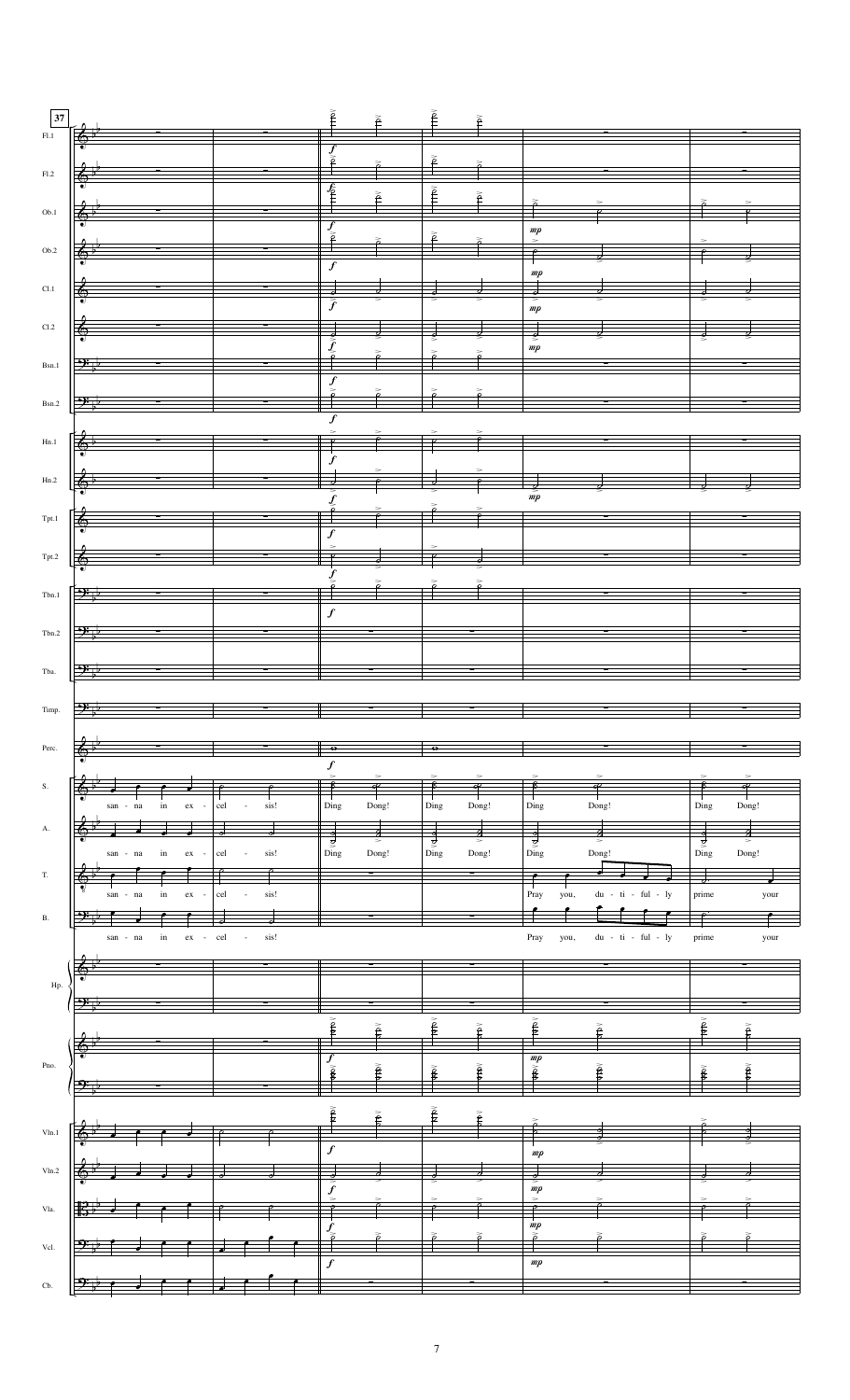| $\boxed{37}$ Fl.1                        |                                                                |      |                                     | $\sum_{i=1}^{\infty}$    | Ē                          | $\geq$           |                                                      |                      |                |               |
|------------------------------------------|----------------------------------------------------------------|------|-------------------------------------|--------------------------|----------------------------|------------------|------------------------------------------------------|----------------------|----------------|---------------|
|                                          |                                                                |      |                                     |                          |                            |                  |                                                      |                      |                |               |
| F1.2                                     |                                                                |      |                                     |                          | $\bar{\tilde{P}}$          |                  |                                                      |                      |                |               |
|                                          |                                                                |      | $\frac{f}{1}$                       |                          | $\check{\hat{\mathsf{f}}}$ |                  |                                                      |                      |                |               |
| Ob.1                                     | $\overline{\Phi}$                                              |      |                                     | $\sum_{i=1}^{n}$         |                            | $\sum_{i=1}^{n}$ |                                                      |                      |                |               |
|                                          |                                                                |      | $\overline{f}$                      |                          |                            |                  | $\emph{mp}$                                          |                      |                |               |
| Ob.2                                     | $6^{\frac{1}{2}}$                                              |      |                                     |                          | $\bar{\tilde{\rho}}$       |                  |                                                      |                      |                |               |
|                                          |                                                                |      | $\boldsymbol{f}$                    |                          |                            |                  | $\emph{mp}$                                          |                      |                |               |
| Cl.1                                     | 香                                                              |      | $\frac{1}{f}$                       |                          |                            |                  |                                                      |                      |                |               |
|                                          |                                                                |      |                                     |                          |                            |                  | $\it{mp}$                                            |                      |                |               |
| $\rm Cl.2$                               | $\blacktriangleright$                                          |      |                                     |                          |                            |                  |                                                      |                      |                |               |
|                                          |                                                                |      |                                     |                          |                            |                  | $\it{mp}$                                            |                      |                |               |
| $_{\rm Bsn.l}$                           | $\mathbf{P}$                                                   |      | $\boldsymbol{f}$                    |                          |                            |                  |                                                      |                      |                |               |
| $_{\rm Bsn.2}$                           | $\mathcal{D}$                                                  |      |                                     |                          |                            |                  |                                                      |                      |                |               |
|                                          |                                                                |      |                                     |                          |                            |                  |                                                      |                      |                |               |
| $_{\rm Hn.1}$                            | 俸                                                              |      | $\rho$                              |                          |                            |                  |                                                      |                      |                |               |
|                                          |                                                                |      | f                                   |                          |                            |                  |                                                      |                      |                |               |
| Hn.2                                     | । है∍                                                          |      |                                     |                          |                            |                  |                                                      |                      |                |               |
|                                          |                                                                |      |                                     |                          |                            |                  | $\frac{1}{mp}$                                       |                      |                |               |
| $_\mathrm{Tpt.1}$                        | る                                                              |      |                                     |                          |                            |                  |                                                      |                      |                |               |
|                                          |                                                                |      |                                     |                          |                            |                  |                                                      |                      |                |               |
| $\operatorname{Tpt.2}$                   | ౹ౚ                                                             |      |                                     |                          |                            |                  |                                                      |                      |                |               |
|                                          |                                                                |      |                                     |                          |                            |                  |                                                      |                      |                |               |
| $\mathrm{Tbn.1}$                         | $\mathcal{P}$                                                  |      |                                     |                          |                            |                  |                                                      |                      |                |               |
|                                          |                                                                |      | $\boldsymbol{f}$                    |                          |                            |                  |                                                      |                      |                |               |
| Tbn.2                                    | $\mathcal{P}$                                                  |      |                                     |                          |                            |                  |                                                      |                      |                |               |
| Tba.                                     | $\mathcal{D}$                                                  |      |                                     |                          |                            |                  |                                                      |                      |                |               |
|                                          |                                                                |      |                                     |                          |                            |                  |                                                      |                      |                |               |
| Timp.                                    | $\mathcal{P}$                                                  |      |                                     |                          |                            |                  |                                                      |                      |                |               |
|                                          |                                                                |      |                                     |                          |                            |                  |                                                      |                      |                |               |
| Perc.                                    |                                                                |      | $\bullet$                           |                          | $\bullet$                  |                  |                                                      |                      |                |               |
|                                          |                                                                |      | $\boldsymbol{f}$                    |                          |                            |                  |                                                      |                      |                |               |
| $\bar{\mathbf{S}}.$                      |                                                                |      |                                     | $\overline{\mathcal{P}}$ | ₽                          | æ                | 声<br>æ                                               |                      | ₿              | q             |
|                                          | in<br>cel<br>$\tan$ - $\tan$<br>$ex -$                         | sis! | Ding                                | Dong!                    | Ding                       | Dong!            | Dong!<br>Ding                                        |                      | Ding           | Dong!         |
| ${\bf A}.$                               |                                                                |      | $\frac{4}{9}$                       |                          | $\frac{d}{d}$              |                  | $\frac{1}{2}$                                        |                      | $\frac{9}{2}$  |               |
|                                          | in<br>san - na<br>cel<br>$ex -$<br>i.                          | sis! | Ding                                | Dong!                    | Ding                       | Dong!            | Ding<br>Dong!                                        |                      | Ding           | Dong!         |
| $\mathbf T.$                             |                                                                |      |                                     |                          |                            |                  | ₽                                                    |                      |                |               |
|                                          | cel<br>in<br>san - na<br>ex<br>$\overline{\phantom{a}}$        | sis! |                                     |                          |                            |                  | Pray<br>you,                                         | $du - ti - fu - 1y$  | prime          | your          |
| $\, {\bf B} . \,$                        | $\mathbf{P}$                                                   |      |                                     |                          |                            |                  |                                                      |                      |                |               |
|                                          | $\operatorname{in}$<br>${\rm ex}$<br>cel<br>san - na<br>$\sim$ | sis! |                                     |                          |                            |                  | Pray<br>you,                                         | $du - ti - ful - ly$ | prime          | your          |
|                                          | $\mathbb{S}^{\frac{1}{p}}$                                     |      |                                     |                          |                            |                  |                                                      |                      |                |               |
| Hp.                                      |                                                                |      |                                     |                          |                            |                  |                                                      |                      |                |               |
|                                          | $\rightarrow$                                                  |      |                                     |                          |                            |                  |                                                      |                      |                |               |
|                                          |                                                                |      |                                     |                          |                            |                  |                                                      |                      |                | 言             |
|                                          |                                                                |      |                                     |                          |                            |                  |                                                      |                      |                |               |
|                                          |                                                                |      | $\frac{1}{2}$                       | $\frac{1}{2}$            | $\sum_{i=1}^{n}$           | $\frac{1}{2}$    | $\frac{\tilde{\rho}}{\tilde{\rho}}$<br>$\frac{5}{5}$ |                      | $\frac{8}{10}$ |               |
|                                          |                                                                |      |                                     |                          |                            |                  | $\emph{mp}$                                          |                      |                |               |
| Pno.                                     |                                                                |      | $\overline{f}$                      | $\frac{1}{\sqrt{2}}$     | $\frac{1}{2}$              | $\frac{1}{2}$    | $\frac{1}{2}$<br>$\frac{1}{2}$                       |                      | $\frac{1}{8}$  | $\frac{1}{3}$ |
|                                          | $\mathbf{2}$                                                   |      |                                     |                          |                            |                  |                                                      |                      |                |               |
|                                          |                                                                |      | $\frac{\tilde{\rho}}{\tilde{\rho}}$ | $\frac{1}{2}$            | $\frac{1}{2}$              | $\frac{6}{5}$    |                                                      |                      |                |               |
|                                          |                                                                |      |                                     |                          |                            |                  |                                                      |                      |                |               |
|                                          |                                                                |      | $\boldsymbol{f}$                    |                          |                            |                  | $\it{mp}$                                            |                      |                |               |
|                                          |                                                                |      |                                     |                          |                            |                  |                                                      |                      |                |               |
|                                          |                                                                |      | $\bar{f}$                           |                          |                            |                  | $\emph{mp}$<br>っ                                     |                      |                |               |
| $_{\rm VIn.1}$<br>$_{\rm Vln.2}$<br>Vla. |                                                                |      |                                     |                          |                            |                  | mp                                                   |                      |                |               |
| Vcl.                                     | $\rightarrow$                                                  |      | $\int$                              |                          |                            |                  | $\geq$                                               |                      |                |               |
|                                          |                                                                |      | $\boldsymbol{f}$                    |                          |                            |                  | $\emph{mp}$                                          |                      |                |               |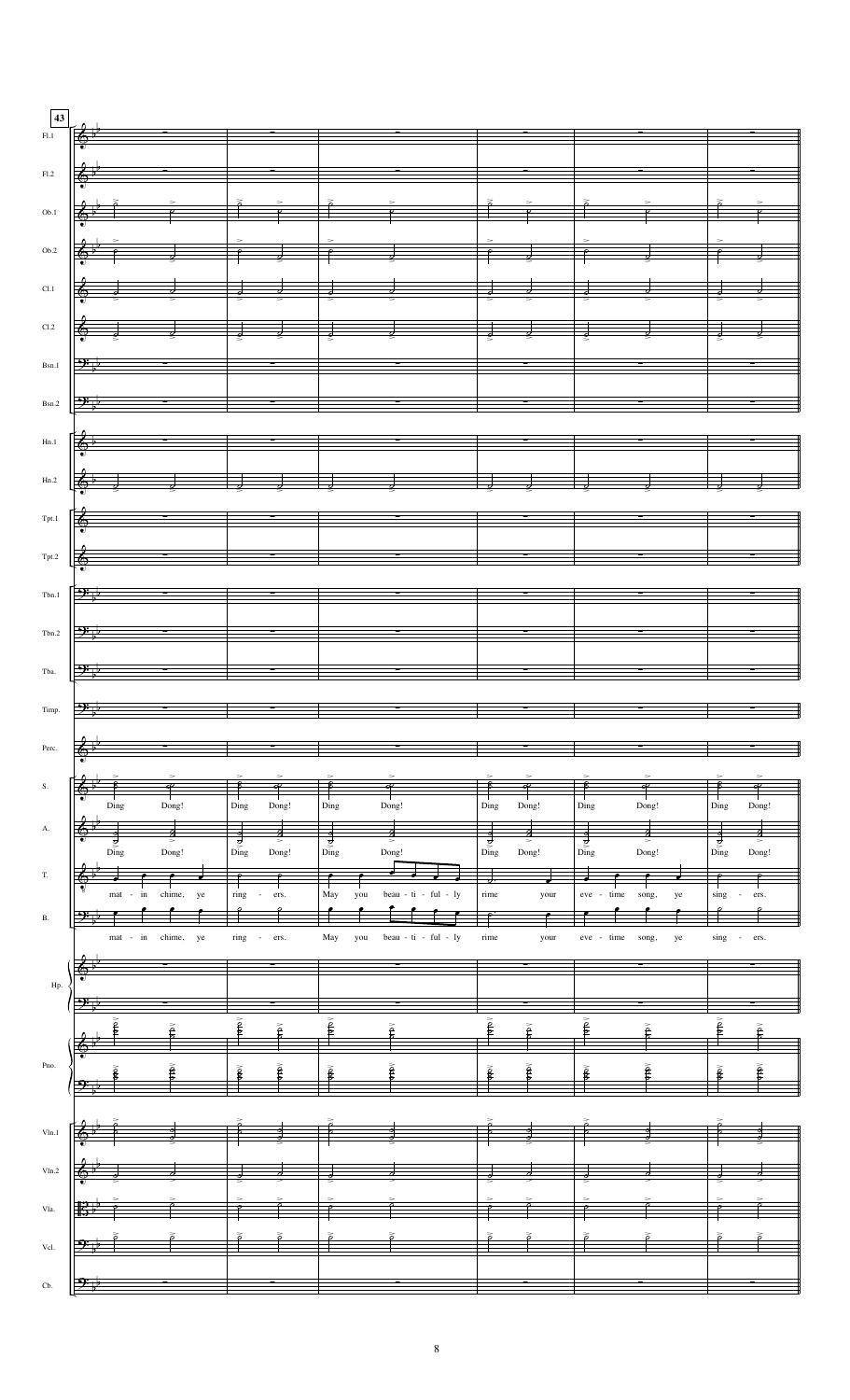| 43                     |                                  |               |                                        |                    |                           |                  |
|------------------------|----------------------------------|---------------|----------------------------------------|--------------------|---------------------------|------------------|
|                        | F1.1                             |               |                                        |                    |                           |                  |
|                        |                                  |               |                                        |                    |                           |                  |
| F1.2                   | $\frac{2}{6}$                    |               |                                        |                    |                           |                  |
|                        |                                  |               |                                        |                    |                           |                  |
| Ob.1                   |                                  |               |                                        |                    |                           | $\rho$           |
|                        |                                  |               |                                        |                    |                           |                  |
| Ob.2                   |                                  |               |                                        |                    |                           |                  |
|                        |                                  |               |                                        |                    |                           |                  |
| CL1                    | $\frac{1}{6}$                    |               |                                        |                    |                           |                  |
|                        |                                  |               |                                        |                    |                           |                  |
| $\rm Cl.2$             | る                                |               | $\frac{1}{2}$                          |                    | $\frac{1}{2}$             |                  |
|                        |                                  |               |                                        |                    |                           |                  |
| $_{\rm Bsn.1}$         |                                  |               |                                        |                    |                           |                  |
|                        |                                  |               |                                        |                    |                           |                  |
|                        |                                  |               | $Bsn2$ $\rightarrow$                   |                    |                           |                  |
|                        |                                  |               |                                        |                    |                           |                  |
| Hn.1                   | $\frac{2}{3}$                    |               |                                        |                    |                           |                  |
|                        |                                  |               |                                        |                    |                           |                  |
|                        |                                  |               |                                        |                    |                           |                  |
|                        |                                  |               |                                        |                    |                           |                  |
| $_{\rm Tpt.1}$         | 巨                                |               |                                        |                    |                           |                  |
|                        |                                  |               |                                        |                    |                           |                  |
| $_{\rm Tpt.2}$         |                                  |               |                                        |                    |                           |                  |
|                        |                                  |               |                                        |                    |                           |                  |
| $\operatorname{Tbn.1}$ |                                  |               |                                        |                    |                           |                  |
|                        |                                  |               |                                        |                    |                           |                  |
| ${\rm Tbn.2}$          | $\mathbf{P}$                     |               |                                        |                    |                           |                  |
|                        |                                  |               |                                        |                    |                           |                  |
| Tba.                   | $\mathbf{P}$                     |               | $\blacksquare$                         |                    |                           |                  |
|                        |                                  |               |                                        |                    |                           |                  |
| Timp.                  |                                  |               |                                        |                    |                           |                  |
|                        |                                  |               |                                        |                    |                           |                  |
| Perc.                  |                                  |               |                                        |                    |                           |                  |
|                        |                                  |               |                                        |                    |                           |                  |
| ${\bf S}.$             |                                  |               |                                        |                    |                           |                  |
|                        |                                  |               |                                        |                    |                           |                  |
|                        | Dong!<br>Ding                    | Ding<br>Dong! | Ding<br>Dong!                          | Ding<br>Dong!      | Ding<br>Dong!             | Ding<br>Dong!    |
| ${\bf A}.$             |                                  |               |                                        |                    |                           |                  |
|                        | $\widehat{\text{Ding}}$<br>Dong! | Ding<br>Dong! | ᢦ<br>$\overline{\text{Ding}}$<br>Dong! | 륗<br>Ding<br>Dong! | Ding<br>Dong!             | Ding<br>Dong!    |
|                        |                                  |               |                                        |                    |                           |                  |
|                        | mat - in<br>chime, ye            | ring<br>ers.  | beau - ti - ful - ly<br>May<br>you     | rime<br>your       | eve - time<br>song,<br>ye | sing<br>ers.     |
|                        |                                  |               |                                        |                    |                           |                  |
| $\, {\bf B} . \,$      |                                  | $\sim$        |                                        |                    |                           |                  |
|                        | mat - in chime, ye               | ring<br>ers.  | May<br>you<br>beau - ti - ful - ly     | rime<br>your       | eve - time<br>ye<br>song, | sing<br>$-$ ers. |
|                        |                                  |               |                                        |                    |                           |                  |
| Hp.                    |                                  |               |                                        |                    |                           |                  |
|                        |                                  |               |                                        |                    |                           |                  |
|                        |                                  | Nb∀           | M⊅∛                                    | $\frac{1}{2}$      | $\frac{1}{2}$             | $\frac{1}{2}$    |
|                        |                                  |               |                                        |                    |                           |                  |
| Pno.                   | é                                |               | ≅<br>⊺                                 | ĭ₹                 | ē<br>é                    |                  |
|                        |                                  | √ ¢को         | $\breve{\mathbf{g}}$                   | $\frac{1}{2}$      |                           | 喜                |
|                        |                                  |               |                                        |                    |                           |                  |
|                        |                                  |               |                                        |                    |                           |                  |
| Vln.1                  |                                  |               |                                        |                    |                           |                  |
| Vln.2                  |                                  |               |                                        |                    |                           |                  |
|                        |                                  |               |                                        |                    |                           |                  |
| Vla.                   |                                  |               |                                        |                    |                           |                  |
|                        |                                  |               |                                        |                    |                           |                  |
| $\mathbf T.$<br>Vcl.   |                                  |               |                                        |                    |                           |                  |
|                        |                                  |               |                                        |                    |                           |                  |
| Cb.                    |                                  |               |                                        |                    |                           |                  |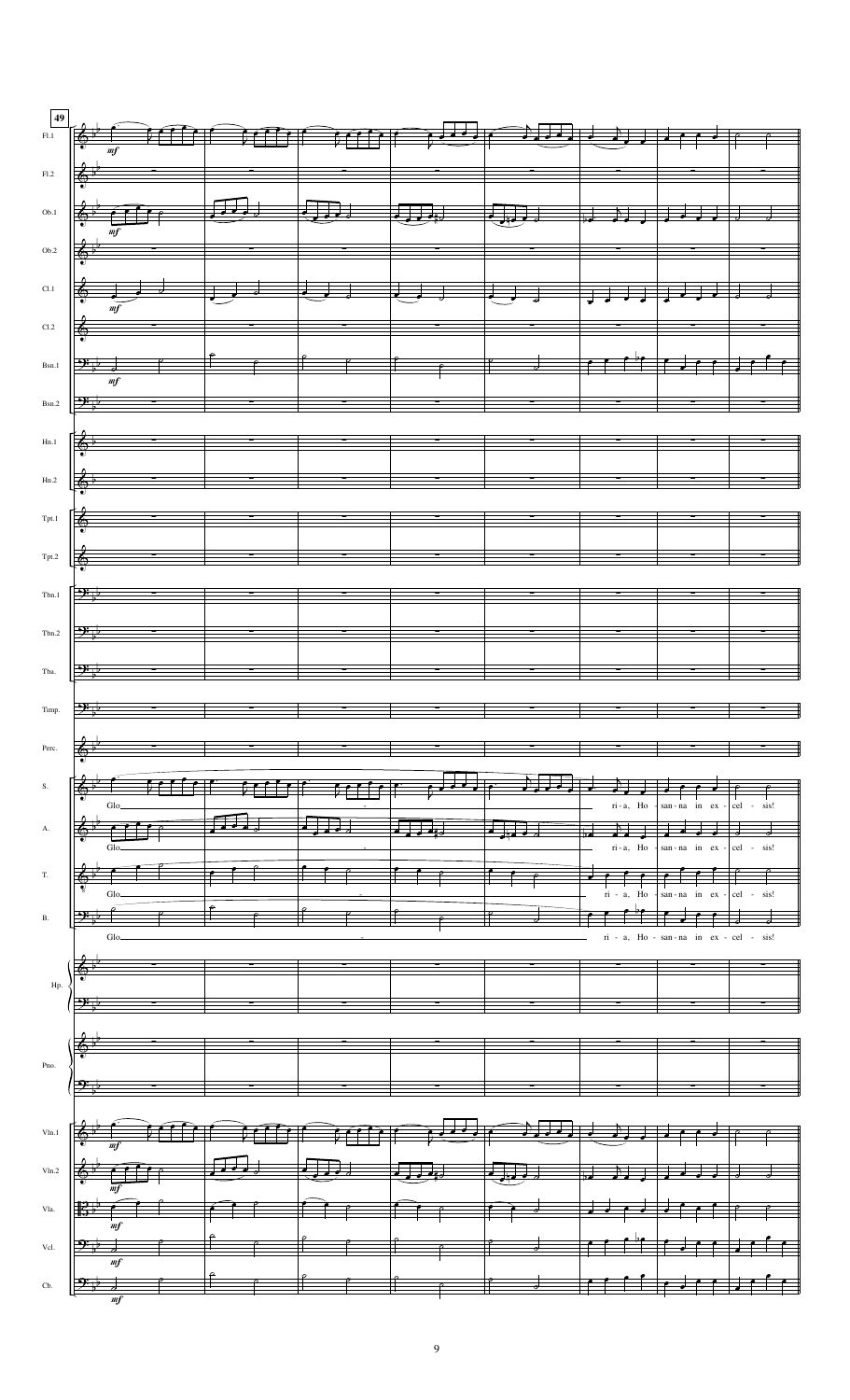| 49                                                      |                                         |                                                                                                                                                                                                                                                                                                                                                                                                                                 |                                                                                                                                                                                                                                                                                                                                                                                                                                 |                          |          |                                |             |
|---------------------------------------------------------|-----------------------------------------|---------------------------------------------------------------------------------------------------------------------------------------------------------------------------------------------------------------------------------------------------------------------------------------------------------------------------------------------------------------------------------------------------------------------------------|---------------------------------------------------------------------------------------------------------------------------------------------------------------------------------------------------------------------------------------------------------------------------------------------------------------------------------------------------------------------------------------------------------------------------------|--------------------------|----------|--------------------------------|-------------|
|                                                         |                                         |                                                                                                                                                                                                                                                                                                                                                                                                                                 |                                                                                                                                                                                                                                                                                                                                                                                                                                 |                          |          |                                |             |
|                                                         |                                         |                                                                                                                                                                                                                                                                                                                                                                                                                                 |                                                                                                                                                                                                                                                                                                                                                                                                                                 |                          |          |                                |             |
| FL2                                                     | 16                                      |                                                                                                                                                                                                                                                                                                                                                                                                                                 |                                                                                                                                                                                                                                                                                                                                                                                                                                 |                          |          |                                |             |
|                                                         |                                         |                                                                                                                                                                                                                                                                                                                                                                                                                                 | $\frac{1}{\sqrt{1-\frac{1}{2}}}\frac{1}{\sqrt{1-\frac{1}{2}}}\frac{1}{\sqrt{1-\frac{1}{2}}}\frac{1}{\sqrt{1-\frac{1}{2}}}\frac{1}{\sqrt{1-\frac{1}{2}}}\frac{1}{\sqrt{1-\frac{1}{2}}}\frac{1}{\sqrt{1-\frac{1}{2}}}\frac{1}{\sqrt{1-\frac{1}{2}}}\frac{1}{\sqrt{1-\frac{1}{2}}}\frac{1}{\sqrt{1-\frac{1}{2}}}\frac{1}{\sqrt{1-\frac{1}{2}}}\frac{1}{\sqrt{1-\frac{1}{2}}}\frac{1}{\sqrt{1-\frac{1}{2}}}\frac{1}{\sqrt{1-\frac{$ |                          |          |                                |             |
|                                                         |                                         |                                                                                                                                                                                                                                                                                                                                                                                                                                 |                                                                                                                                                                                                                                                                                                                                                                                                                                 |                          |          |                                |             |
| Ob.1                                                    |                                         |                                                                                                                                                                                                                                                                                                                                                                                                                                 |                                                                                                                                                                                                                                                                                                                                                                                                                                 | $\frac{1}{\sqrt{2}}$     |          |                                |             |
|                                                         |                                         |                                                                                                                                                                                                                                                                                                                                                                                                                                 |                                                                                                                                                                                                                                                                                                                                                                                                                                 |                          |          |                                |             |
| Ob.2                                                    | $\oint$                                 |                                                                                                                                                                                                                                                                                                                                                                                                                                 |                                                                                                                                                                                                                                                                                                                                                                                                                                 |                          |          |                                |             |
|                                                         |                                         | $\frac{1}{\sqrt{1-\frac{1}{2}}}\frac{1}{\sqrt{1-\frac{1}{2}}}\frac{1}{\sqrt{1-\frac{1}{2}}}\frac{1}{\sqrt{1-\frac{1}{2}}}\frac{1}{\sqrt{1-\frac{1}{2}}}\frac{1}{\sqrt{1-\frac{1}{2}}}\frac{1}{\sqrt{1-\frac{1}{2}}}\frac{1}{\sqrt{1-\frac{1}{2}}}\frac{1}{\sqrt{1-\frac{1}{2}}}\frac{1}{\sqrt{1-\frac{1}{2}}}\frac{1}{\sqrt{1-\frac{1}{2}}}\frac{1}{\sqrt{1-\frac{1}{2}}}\frac{1}{\sqrt{1-\frac{1}{2}}}\frac{1}{\sqrt{1-\frac{$ |                                                                                                                                                                                                                                                                                                                                                                                                                                 | $\overline{\phantom{a}}$ |          |                                |             |
|                                                         |                                         |                                                                                                                                                                                                                                                                                                                                                                                                                                 |                                                                                                                                                                                                                                                                                                                                                                                                                                 |                          |          |                                |             |
| $\rm C1.1$                                              | 棒<br>$\overline{\phantom{a}}$           |                                                                                                                                                                                                                                                                                                                                                                                                                                 |                                                                                                                                                                                                                                                                                                                                                                                                                                 |                          |          |                                |             |
|                                                         |                                         |                                                                                                                                                                                                                                                                                                                                                                                                                                 |                                                                                                                                                                                                                                                                                                                                                                                                                                 |                          |          |                                |             |
|                                                         |                                         |                                                                                                                                                                                                                                                                                                                                                                                                                                 |                                                                                                                                                                                                                                                                                                                                                                                                                                 |                          |          |                                |             |
| Cl.2                                                    | 6                                       |                                                                                                                                                                                                                                                                                                                                                                                                                                 |                                                                                                                                                                                                                                                                                                                                                                                                                                 |                          |          |                                |             |
|                                                         |                                         |                                                                                                                                                                                                                                                                                                                                                                                                                                 |                                                                                                                                                                                                                                                                                                                                                                                                                                 |                          |          |                                |             |
| $_{\rm Bsn.1}$                                          | $\mathcal{P}$                           |                                                                                                                                                                                                                                                                                                                                                                                                                                 | $\mathbb{I}$                                                                                                                                                                                                                                                                                                                                                                                                                    |                          |          |                                |             |
|                                                         | m f                                     |                                                                                                                                                                                                                                                                                                                                                                                                                                 |                                                                                                                                                                                                                                                                                                                                                                                                                                 |                          |          |                                |             |
|                                                         |                                         |                                                                                                                                                                                                                                                                                                                                                                                                                                 |                                                                                                                                                                                                                                                                                                                                                                                                                                 |                          |          |                                |             |
| $_{\rm Bsn.2}$                                          | $\mathbf{P}$                            |                                                                                                                                                                                                                                                                                                                                                                                                                                 |                                                                                                                                                                                                                                                                                                                                                                                                                                 |                          |          |                                |             |
|                                                         |                                         |                                                                                                                                                                                                                                                                                                                                                                                                                                 |                                                                                                                                                                                                                                                                                                                                                                                                                                 |                          |          |                                |             |
| $_{\rm Hn.1}$                                           | $\frac{1}{2}$                           |                                                                                                                                                                                                                                                                                                                                                                                                                                 |                                                                                                                                                                                                                                                                                                                                                                                                                                 |                          |          |                                |             |
|                                                         |                                         |                                                                                                                                                                                                                                                                                                                                                                                                                                 |                                                                                                                                                                                                                                                                                                                                                                                                                                 |                          |          |                                |             |
|                                                         |                                         |                                                                                                                                                                                                                                                                                                                                                                                                                                 |                                                                                                                                                                                                                                                                                                                                                                                                                                 |                          |          |                                |             |
| $_{\rm Hn.2}$                                           | <u> Tanzania (h. 1878).</u><br>Naskiĝoj | Ξ                                                                                                                                                                                                                                                                                                                                                                                                                               |                                                                                                                                                                                                                                                                                                                                                                                                                                 |                          |          |                                |             |
|                                                         |                                         |                                                                                                                                                                                                                                                                                                                                                                                                                                 |                                                                                                                                                                                                                                                                                                                                                                                                                                 |                          |          |                                |             |
|                                                         |                                         |                                                                                                                                                                                                                                                                                                                                                                                                                                 |                                                                                                                                                                                                                                                                                                                                                                                                                                 |                          |          |                                |             |
| $_{\rm Tpt.1}$                                          | ≸                                       |                                                                                                                                                                                                                                                                                                                                                                                                                                 |                                                                                                                                                                                                                                                                                                                                                                                                                                 |                          |          |                                |             |
|                                                         |                                         |                                                                                                                                                                                                                                                                                                                                                                                                                                 |                                                                                                                                                                                                                                                                                                                                                                                                                                 |                          |          |                                |             |
| Tpt.2                                                   |                                         |                                                                                                                                                                                                                                                                                                                                                                                                                                 |                                                                                                                                                                                                                                                                                                                                                                                                                                 |                          |          |                                |             |
|                                                         |                                         |                                                                                                                                                                                                                                                                                                                                                                                                                                 |                                                                                                                                                                                                                                                                                                                                                                                                                                 |                          |          |                                |             |
|                                                         |                                         |                                                                                                                                                                                                                                                                                                                                                                                                                                 |                                                                                                                                                                                                                                                                                                                                                                                                                                 |                          |          |                                |             |
| $\operatorname{Tbn.1}$                                  |                                         |                                                                                                                                                                                                                                                                                                                                                                                                                                 |                                                                                                                                                                                                                                                                                                                                                                                                                                 |                          |          |                                |             |
|                                                         |                                         |                                                                                                                                                                                                                                                                                                                                                                                                                                 |                                                                                                                                                                                                                                                                                                                                                                                                                                 |                          |          |                                |             |
| Tbn.2                                                   |                                         |                                                                                                                                                                                                                                                                                                                                                                                                                                 |                                                                                                                                                                                                                                                                                                                                                                                                                                 |                          |          |                                |             |
|                                                         |                                         |                                                                                                                                                                                                                                                                                                                                                                                                                                 |                                                                                                                                                                                                                                                                                                                                                                                                                                 |                          |          |                                |             |
|                                                         |                                         |                                                                                                                                                                                                                                                                                                                                                                                                                                 |                                                                                                                                                                                                                                                                                                                                                                                                                                 |                          |          |                                |             |
| Tba.                                                    | $\mathbf{P}$                            |                                                                                                                                                                                                                                                                                                                                                                                                                                 |                                                                                                                                                                                                                                                                                                                                                                                                                                 |                          |          |                                |             |
|                                                         |                                         |                                                                                                                                                                                                                                                                                                                                                                                                                                 |                                                                                                                                                                                                                                                                                                                                                                                                                                 |                          |          |                                |             |
|                                                         |                                         |                                                                                                                                                                                                                                                                                                                                                                                                                                 |                                                                                                                                                                                                                                                                                                                                                                                                                                 |                          |          |                                |             |
| Timp.                                                   | $\mathcal{P}$                           |                                                                                                                                                                                                                                                                                                                                                                                                                                 |                                                                                                                                                                                                                                                                                                                                                                                                                                 |                          |          |                                |             |
|                                                         |                                         |                                                                                                                                                                                                                                                                                                                                                                                                                                 |                                                                                                                                                                                                                                                                                                                                                                                                                                 |                          |          |                                |             |
| Perc.                                                   |                                         |                                                                                                                                                                                                                                                                                                                                                                                                                                 |                                                                                                                                                                                                                                                                                                                                                                                                                                 |                          |          |                                |             |
|                                                         |                                         |                                                                                                                                                                                                                                                                                                                                                                                                                                 |                                                                                                                                                                                                                                                                                                                                                                                                                                 |                          |          |                                |             |
|                                                         |                                         |                                                                                                                                                                                                                                                                                                                                                                                                                                 |                                                                                                                                                                                                                                                                                                                                                                                                                                 |                          |          |                                |             |
|                                                         |                                         |                                                                                                                                                                                                                                                                                                                                                                                                                                 |                                                                                                                                                                                                                                                                                                                                                                                                                                 |                          |          |                                |             |
| ${\bf S}.$                                              |                                         |                                                                                                                                                                                                                                                                                                                                                                                                                                 |                                                                                                                                                                                                                                                                                                                                                                                                                                 |                          |          |                                |             |
|                                                         | Glo                                     |                                                                                                                                                                                                                                                                                                                                                                                                                                 |                                                                                                                                                                                                                                                                                                                                                                                                                                 |                          | ri-a, Ho | in ex<br>san - na              | cel -       |
|                                                         |                                         |                                                                                                                                                                                                                                                                                                                                                                                                                                 |                                                                                                                                                                                                                                                                                                                                                                                                                                 |                          |          |                                |             |
| ${\bf A}.$                                              |                                         |                                                                                                                                                                                                                                                                                                                                                                                                                                 |                                                                                                                                                                                                                                                                                                                                                                                                                                 |                          |          |                                |             |
|                                                         | Glo                                     |                                                                                                                                                                                                                                                                                                                                                                                                                                 |                                                                                                                                                                                                                                                                                                                                                                                                                                 |                          | ri-a, Ho | san-na in ex                   | cel - sis!  |
|                                                         |                                         |                                                                                                                                                                                                                                                                                                                                                                                                                                 |                                                                                                                                                                                                                                                                                                                                                                                                                                 |                          |          |                                |             |
|                                                         |                                         |                                                                                                                                                                                                                                                                                                                                                                                                                                 |                                                                                                                                                                                                                                                                                                                                                                                                                                 |                          |          |                                |             |
|                                                         | Glo                                     |                                                                                                                                                                                                                                                                                                                                                                                                                                 |                                                                                                                                                                                                                                                                                                                                                                                                                                 |                          | Ho       | in ex<br>san - na              | sis!<br>cel |
|                                                         |                                         |                                                                                                                                                                                                                                                                                                                                                                                                                                 |                                                                                                                                                                                                                                                                                                                                                                                                                                 |                          |          |                                |             |
| B.                                                      |                                         |                                                                                                                                                                                                                                                                                                                                                                                                                                 |                                                                                                                                                                                                                                                                                                                                                                                                                                 |                          |          |                                |             |
|                                                         | Glo                                     |                                                                                                                                                                                                                                                                                                                                                                                                                                 |                                                                                                                                                                                                                                                                                                                                                                                                                                 |                          | ri       | a, Ho - san - na in ex - cel - | sis!        |
|                                                         |                                         |                                                                                                                                                                                                                                                                                                                                                                                                                                 |                                                                                                                                                                                                                                                                                                                                                                                                                                 |                          |          |                                |             |
|                                                         |                                         |                                                                                                                                                                                                                                                                                                                                                                                                                                 |                                                                                                                                                                                                                                                                                                                                                                                                                                 |                          |          |                                |             |
| Hp.                                                     |                                         |                                                                                                                                                                                                                                                                                                                                                                                                                                 |                                                                                                                                                                                                                                                                                                                                                                                                                                 |                          |          |                                |             |
|                                                         |                                         |                                                                                                                                                                                                                                                                                                                                                                                                                                 |                                                                                                                                                                                                                                                                                                                                                                                                                                 |                          |          |                                |             |
|                                                         |                                         |                                                                                                                                                                                                                                                                                                                                                                                                                                 |                                                                                                                                                                                                                                                                                                                                                                                                                                 |                          |          |                                |             |
|                                                         |                                         |                                                                                                                                                                                                                                                                                                                                                                                                                                 |                                                                                                                                                                                                                                                                                                                                                                                                                                 |                          |          |                                |             |
|                                                         |                                         |                                                                                                                                                                                                                                                                                                                                                                                                                                 |                                                                                                                                                                                                                                                                                                                                                                                                                                 |                          |          |                                |             |
|                                                         |                                         |                                                                                                                                                                                                                                                                                                                                                                                                                                 |                                                                                                                                                                                                                                                                                                                                                                                                                                 |                          |          |                                |             |
|                                                         |                                         |                                                                                                                                                                                                                                                                                                                                                                                                                                 |                                                                                                                                                                                                                                                                                                                                                                                                                                 |                          |          |                                |             |
|                                                         |                                         |                                                                                                                                                                                                                                                                                                                                                                                                                                 |                                                                                                                                                                                                                                                                                                                                                                                                                                 |                          |          |                                |             |
|                                                         |                                         |                                                                                                                                                                                                                                                                                                                                                                                                                                 |                                                                                                                                                                                                                                                                                                                                                                                                                                 |                          |          |                                |             |
|                                                         |                                         |                                                                                                                                                                                                                                                                                                                                                                                                                                 |                                                                                                                                                                                                                                                                                                                                                                                                                                 |                          |          |                                |             |
|                                                         |                                         |                                                                                                                                                                                                                                                                                                                                                                                                                                 |                                                                                                                                                                                                                                                                                                                                                                                                                                 |                          |          |                                |             |
|                                                         |                                         |                                                                                                                                                                                                                                                                                                                                                                                                                                 |                                                                                                                                                                                                                                                                                                                                                                                                                                 |                          |          |                                |             |
|                                                         |                                         |                                                                                                                                                                                                                                                                                                                                                                                                                                 |                                                                                                                                                                                                                                                                                                                                                                                                                                 |                          |          |                                |             |
|                                                         |                                         |                                                                                                                                                                                                                                                                                                                                                                                                                                 |                                                                                                                                                                                                                                                                                                                                                                                                                                 |                          |          |                                |             |
|                                                         |                                         |                                                                                                                                                                                                                                                                                                                                                                                                                                 |                                                                                                                                                                                                                                                                                                                                                                                                                                 |                          |          |                                |             |
| Vla.                                                    |                                         |                                                                                                                                                                                                                                                                                                                                                                                                                                 |                                                                                                                                                                                                                                                                                                                                                                                                                                 |                          |          |                                |             |
|                                                         | mf                                      |                                                                                                                                                                                                                                                                                                                                                                                                                                 |                                                                                                                                                                                                                                                                                                                                                                                                                                 |                          |          |                                |             |
|                                                         |                                         |                                                                                                                                                                                                                                                                                                                                                                                                                                 |                                                                                                                                                                                                                                                                                                                                                                                                                                 |                          |          |                                |             |
| $\mathbf T.$<br>Pno.<br>$_{\rm Vln.1}$<br>Vln.2<br>Vcl. |                                         |                                                                                                                                                                                                                                                                                                                                                                                                                                 |                                                                                                                                                                                                                                                                                                                                                                                                                                 |                          |          |                                |             |
|                                                         | mf                                      |                                                                                                                                                                                                                                                                                                                                                                                                                                 |                                                                                                                                                                                                                                                                                                                                                                                                                                 |                          |          |                                |             |
| Cb.                                                     |                                         |                                                                                                                                                                                                                                                                                                                                                                                                                                 |                                                                                                                                                                                                                                                                                                                                                                                                                                 |                          |          |                                |             |
|                                                         | mf                                      |                                                                                                                                                                                                                                                                                                                                                                                                                                 |                                                                                                                                                                                                                                                                                                                                                                                                                                 |                          |          |                                |             |